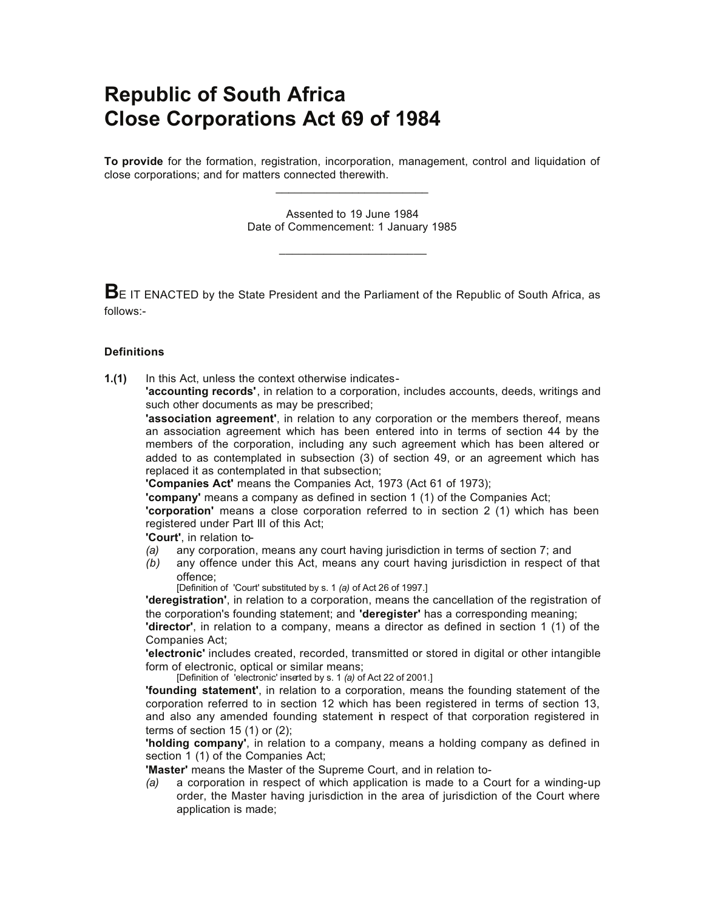# **Republic of South Africa Close Corporations Act 69 of 1984**

**To provide** for the formation, registration, incorporation, management, control and liquidation of close corporations; and for matters connected therewith. \_\_\_\_\_\_\_\_\_\_\_\_\_\_\_\_\_\_\_\_\_\_\_\_

> Assented to 19 June 1984 Date of Commencement: 1 January 1985

> > \_\_\_\_\_\_\_\_\_\_\_\_\_\_\_\_\_\_\_\_\_\_\_

**BE** IT ENACTED by the State President and the Parliament of the Republic of South Africa, as follows:-

## **Definitions**

**1.(1)** In this Act, unless the context otherwise indicates-

**'accounting records'**, in relation to a corporation, includes accounts, deeds, writings and such other documents as may be prescribed;

**'association agreement'**, in relation to any corporation or the members thereof, means an association agreement which has been entered into in terms of section 44 by the members of the corporation, including any such agreement which has been altered or added to as contemplated in subsection (3) of section 49, or an agreement which has replaced it as contemplated in that subsection;

**'Companies Act'** means the Companies Act, 1973 (Act 61 of 1973);

**'company'** means a company as defined in section 1 (1) of the Companies Act;

**'corporation'** means a close corporation referred to in section 2 (1) which has been registered under Part III of this Act;

**'Court'**, in relation to-

- *(a)* any corporation, means any court having jurisdiction in terms of section 7; and
- *(b)* any offence under this Act, means any court having jurisdiction in respect of that offence;
	- [Definition of 'Court' substituted by s. 1 *(a)* of Act 26 of 1997.]

**'deregistration'**, in relation to a corporation, means the cancellation of the registration of the corporation's founding statement; and **'deregister'** has a corresponding meaning;

**'director'**, in relation to a company, means a director as defined in section 1 (1) of the Companies Act;

**'electronic'** includes created, recorded, transmitted or stored in digital or other intangible form of electronic, optical or similar means;

[Definition of 'electronic' inserted by s. 1 *(a)* of Act 22 of 2001.]

**'founding statement'**, in relation to a corporation, means the founding statement of the corporation referred to in section 12 which has been registered in terms of section 13, and also any amended founding statement in respect of that corporation registered in terms of section 15 (1) or (2);

**'holding company'**, in relation to a company, means a holding company as defined in section 1 (1) of the Companies Act;

**'Master'** means the Master of the Supreme Court, and in relation to-

*(a)* a corporation in respect of which application is made to a Court for a winding-up order, the Master having jurisdiction in the area of jurisdiction of the Court where application is made;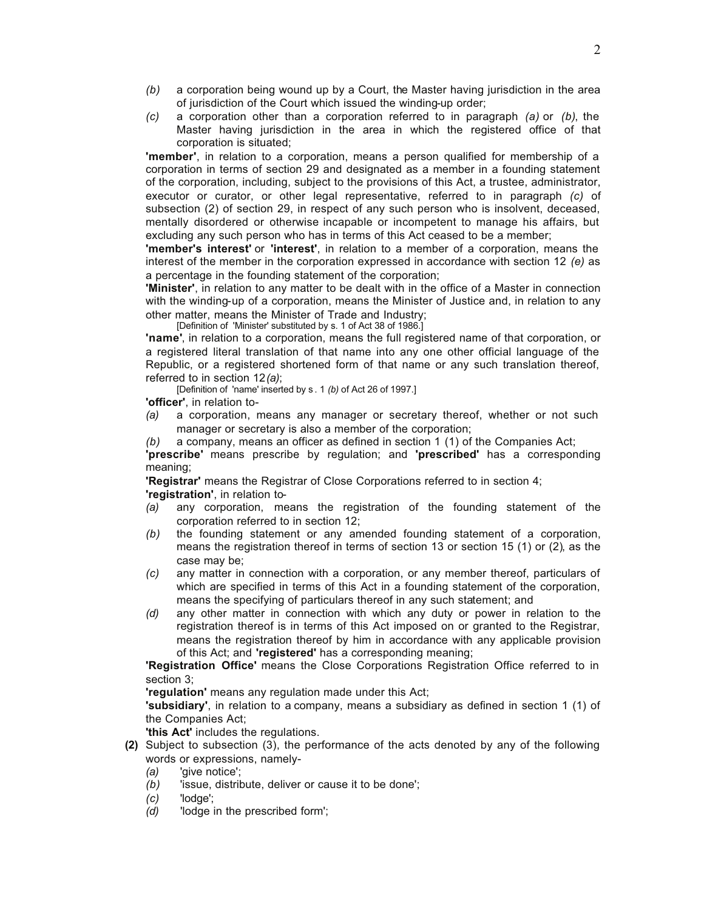- *(b)* a corporation being wound up by a Court, the Master having jurisdiction in the area of jurisdiction of the Court which issued the winding-up order;
- *(c)* a corporation other than a corporation referred to in paragraph *(a)* or *(b)*, the Master having jurisdiction in the area in which the registered office of that corporation is situated;

**'member'**, in relation to a corporation, means a person qualified for membership of a corporation in terms of section 29 and designated as a member in a founding statement of the corporation, including, subject to the provisions of this Act, a trustee, administrator, executor or curator, or other legal representative, referred to in paragraph *(c)* of subsection (2) of section 29, in respect of any such person who is insolvent, deceased, mentally disordered or otherwise incapable or incompetent to manage his affairs, but excluding any such person who has in terms of this Act ceased to be a member;

**'member's interest'** or **'interest'**, in relation to a member of a corporation, means the interest of the member in the corporation expressed in accordance with section 12 *(e)* as a percentage in the founding statement of the corporation;

**'Minister'**, in relation to any matter to be dealt with in the office of a Master in connection with the winding-up of a corporation, means the Minister of Justice and, in relation to any other matter, means the Minister of Trade and Industry;

[Definition of 'Minister' substituted by s. 1 of Act 38 of 1986.]

**'name'**, in relation to a corporation, means the full registered name of that corporation, or a registered literal translation of that name into any one other official language of the Republic, or a registered shortened form of that name or any such translation thereof, referred to in section 12*(a)*;

[Definition of 'name' inserted by s . 1 *(b)* of Act 26 of 1997.]

**'officer'**, in relation to-

- *(a)* a corporation, means any manager or secretary thereof, whether or not such manager or secretary is also a member of the corporation;
- *(b)* a company, means an officer as defined in section 1 (1) of the Companies Act;

**'prescribe'** means prescribe by regulation; and **'prescribed'** has a corresponding meaning;

**'Registrar'** means the Registrar of Close Corporations referred to in section 4; **'registration'**, in relation to-

- *(a)* any corporation, means the registration of the founding statement of the corporation referred to in section 12;
- *(b)* the founding statement or any amended founding statement of a corporation, means the registration thereof in terms of section 13 or section 15 (1) or (2), as the case may be;
- *(c)* any matter in connection with a corporation, or any member thereof, particulars of which are specified in terms of this Act in a founding statement of the corporation, means the specifying of particulars thereof in any such statement; and
- *(d)* any other matter in connection with which any duty or power in relation to the registration thereof is in terms of this Act imposed on or granted to the Registrar, means the registration thereof by him in accordance with any applicable provision of this Act; and **'registered'** has a corresponding meaning;

**'Registration Office'** means the Close Corporations Registration Office referred to in section 3;

**'regulation'** means any regulation made under this Act;

**'subsidiary'**, in relation to a company, means a subsidiary as defined in section 1 (1) of the Companies Act;

**'this Act'** includes the regulations.

- **(2)** Subject to subsection (3), the performance of the acts denoted by any of the following words or expressions, namely-
	- *(a)* 'give notice';
	- *(b)* 'issue, distribute, deliver or cause it to be done';
	- *(c)* 'lodge';
	- *(d)* 'lodge in the prescribed form';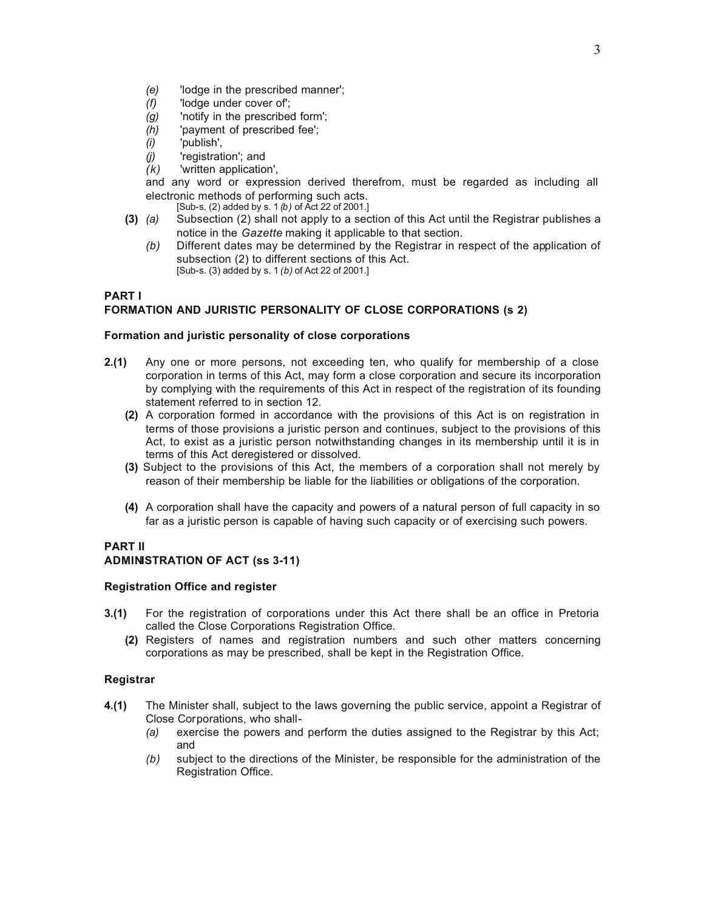- *(e)* 'lodge in the prescribed manner';
- *(f)* 'lodge under cover of';
- *(g)* 'notify in the prescribed form';
- *(h)* 'payment of prescribed fee';
- *(i)* 'publish',
- *(j)* 'registration'; and
- *(k)* 'written application',
- and any word or expression derived therefrom, must be regarded as including all electronic methods of performing such acts.

[Sub-s. (2) added by s. 1 *(b)* of Act 22 of 2001.]

- **(3)** *(a)* Subsection (2) shall not apply to a section of this Act until the Registrar publishes a notice in the *Gazette* making it applicable to that section.
	- *(b)* Different dates may be determined by the Registrar in respect of the application of subsection (2) to different sections of this Act. [Sub-s. (3) added by s. 1 *(b)* of Act 22 of 2001.]

# **PART I FORMATION AND JURISTIC PERSONALITY OF CLOSE CORPORATIONS (s 2)**

## **Formation and juristic personality of close corporations**

- **2.(1)** Any one or more persons, not exceeding ten, who qualify for membership of a close corporation in terms of this Act, may form a close corporation and secure its incorporation by complying with the requirements of this Act in respect of the registration of its founding statement referred to in section 12.
	- **(2)** A corporation formed in accordance with the provisions of this Act is on registration in terms of those provisions a juristic person and continues, subject to the provisions of this Act, to exist as a juristic person notwithstanding changes in its membership until it is in terms of this Act deregistered or dissolved.
	- **(3)** Subject to the provisions of this Act, the members of a corporation shall not merely by reason of their membership be liable for the liabilities or obligations of the corporation.
	- **(4)** A corporation shall have the capacity and powers of a natural person of full capacity in so far as a juristic person is capable of having such capacity or of exercising such powers.

# **PART II**

## **ADMINISTRATION OF ACT (ss 3-11)**

## **Registration Office and register**

- **3.(1)** For the registration of corporations under this Act there shall be an office in Pretoria called the Close Corporations Registration Office.
	- **(2)** Registers of names and registration numbers and such other matters concerning corporations as may be prescribed, shall be kept in the Registration Office.

## **Registrar**

- **4.(1)** The Minister shall, subject to the laws governing the public service, appoint a Registrar of Close Corporations, who shall-
	- *(a)* exercise the powers and perform the duties assigned to the Registrar by this Act; and
	- *(b)* subject to the directions of the Minister, be responsible for the administration of the Registration Office.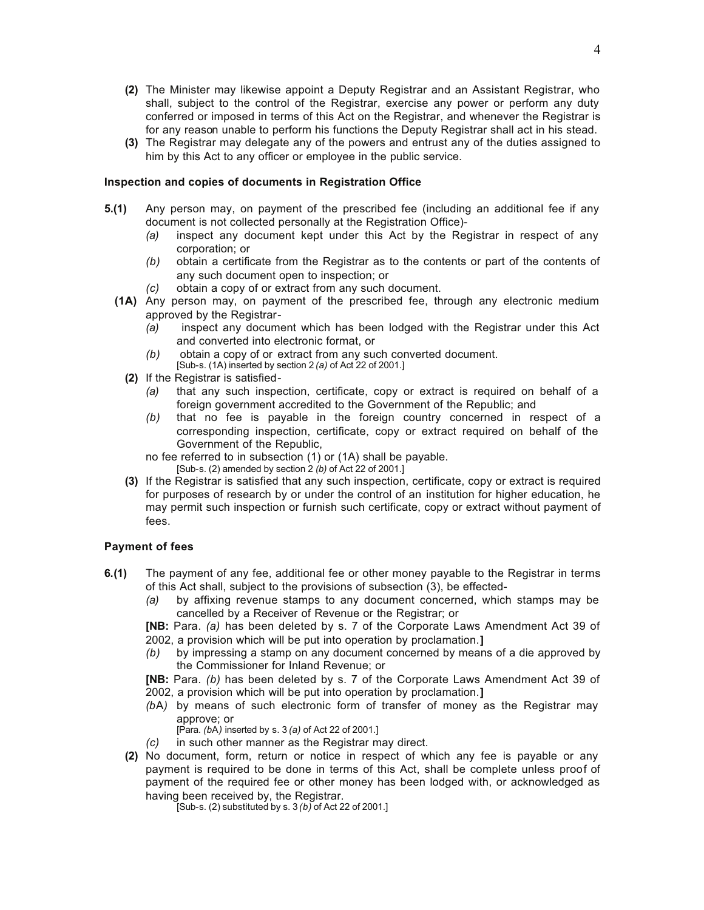- **(2)** The Minister may likewise appoint a Deputy Registrar and an Assistant Registrar, who shall, subject to the control of the Registrar, exercise any power or perform any duty conferred or imposed in terms of this Act on the Registrar, and whenever the Registrar is for any reason unable to perform his functions the Deputy Registrar shall act in his stead.
- **(3)** The Registrar may delegate any of the powers and entrust any of the duties assigned to him by this Act to any officer or employee in the public service.

#### **Inspection and copies of documents in Registration Office**

- **5.(1)** Any person may, on payment of the prescribed fee (including an additional fee if any document is not collected personally at the Registration Office)-
	- *(a)* inspect any document kept under this Act by the Registrar in respect of any corporation; or
	- *(b)* obtain a certificate from the Registrar as to the contents or part of the contents of any such document open to inspection; or
	- *(c)* obtain a copy of or extract from any such document.
	- **(1A)** Any person may, on payment of the prescribed fee, through any electronic medium approved by the Registrar-
		- *(a)* inspect any document which has been lodged with the Registrar under this Act and converted into electronic format, or
		- *(b)* obtain a copy of or extract from any such converted document. [Sub-s. (1A) inserted by section 2 *(a)* of Act 22 of 2001.]
		- **(2)** If the Registrar is satisfied-
			- *(a)* that any such inspection, certificate, copy or extract is required on behalf of a foreign government accredited to the Government of the Republic; and
			- *(b)* that no fee is payable in the foreign country concerned in respect of a corresponding inspection, certificate, copy or extract required on behalf of the Government of the Republic,

no fee referred to in subsection (1) or (1A) shall be payable. [Sub-s. (2) amended by section  $2$  (b) of Act 22 of 2001.]

**(3)** If the Registrar is satisfied that any such inspection, certificate, copy or extract is required for purposes of research by or under the control of an institution for higher education, he may permit such inspection or furnish such certificate, copy or extract without payment of fees.

## **Payment of fees**

- **6.(1)** The payment of any fee, additional fee or other money payable to the Registrar in terms of this Act shall, subject to the provisions of subsection (3), be effected-
	- *(a)* by affixing revenue stamps to any document concerned, which stamps may be cancelled by a Receiver of Revenue or the Registrar; or

**[NB:** Para. *(a)* has been deleted by s. 7 of the Corporate Laws Amendment Act 39 of 2002, a provision which will be put into operation by proclamation.**]**

*(b)* by impressing a stamp on any document concerned by means of a die approved by the Commissioner for Inland Revenue; or

**[NB:** Para. *(b)* has been deleted by s. 7 of the Corporate Laws Amendment Act 39 of 2002, a provision which will be put into operation by proclamation.**]**

*(b*A*)* by means of such electronic form of transfer of money as the Registrar may approve; or

[Para. *(b*A*)* inserted by s. 3 *(a)* of Act 22 of 2001.]

- *(c)* in such other manner as the Registrar may direct.
- **(2)** No document, form, return or notice in respect of which any fee is payable or any payment is required to be done in terms of this Act, shall be complete unless proof of payment of the required fee or other money has been lodged with, or acknowledged as having been received by, the Registrar.

[Sub-s. (2) substituted by s. 3 *(b)* of Act 22 of 2001.]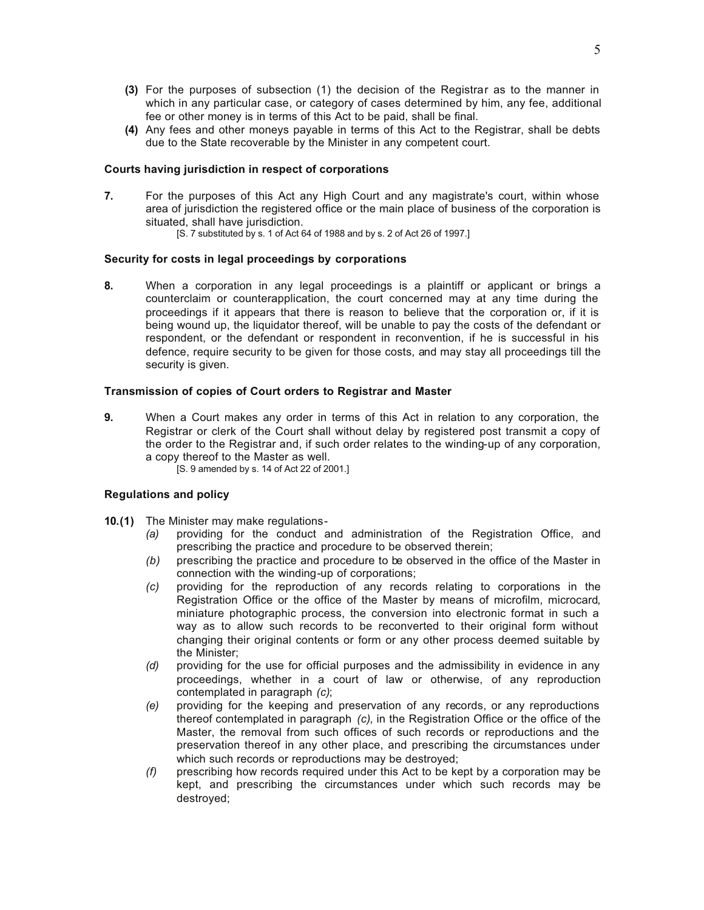- **(3)** For the purposes of subsection (1) the decision of the Registrar as to the manner in which in any particular case, or category of cases determined by him, any fee, additional fee or other money is in terms of this Act to be paid, shall be final.
- **(4)** Any fees and other moneys payable in terms of this Act to the Registrar, shall be debts due to the State recoverable by the Minister in any competent court.

#### **Courts having jurisdiction in respect of corporations**

- **7.** For the purposes of this Act any High Court and any magistrate's court, within whose area of jurisdiction the registered office or the main place of business of the corporation is situated, shall have jurisdiction.
	- [S. 7 substituted by s. 1 of Act 64 of 1988 and by s. 2 of Act 26 of 1997.]

#### **Security for costs in legal proceedings by corporations**

**8.** When a corporation in any legal proceedings is a plaintiff or applicant or brings a counterclaim or counterapplication, the court concerned may at any time during the proceedings if it appears that there is reason to believe that the corporation or, if it is being wound up, the liquidator thereof, will be unable to pay the costs of the defendant or respondent, or the defendant or respondent in reconvention, if he is successful in his defence, require security to be given for those costs, and may stay all proceedings till the security is given.

#### **Transmission of copies of Court orders to Registrar and Master**

**9.** When a Court makes any order in terms of this Act in relation to any corporation, the Registrar or clerk of the Court shall without delay by registered post transmit a copy of the order to the Registrar and, if such order relates to the winding-up of any corporation, a copy thereof to the Master as well.

[S. 9 amended by s. 14 of Act 22 of 2001.]

#### **Regulations and policy**

- **10.(1)** The Minister may make regulations-
	- *(a)* providing for the conduct and administration of the Registration Office, and prescribing the practice and procedure to be observed therein;
	- *(b)* prescribing the practice and procedure to be observed in the office of the Master in connection with the winding-up of corporations;
	- *(c)* providing for the reproduction of any records relating to corporations in the Registration Office or the office of the Master by means of microfilm, microcard, miniature photographic process, the conversion into electronic format in such a way as to allow such records to be reconverted to their original form without changing their original contents or form or any other process deemed suitable by the Minister;
	- *(d)* providing for the use for official purposes and the admissibility in evidence in any proceedings, whether in a court of law or otherwise, of any reproduction contemplated in paragraph *(c)*;
	- *(e)* providing for the keeping and preservation of any records, or any reproductions thereof contemplated in paragraph *(c)*, in the Registration Office or the office of the Master, the removal from such offices of such records or reproductions and the preservation thereof in any other place, and prescribing the circumstances under which such records or reproductions may be destroyed;
	- *(f)* prescribing how records required under this Act to be kept by a corporation may be kept, and prescribing the circumstances under which such records may be destroyed;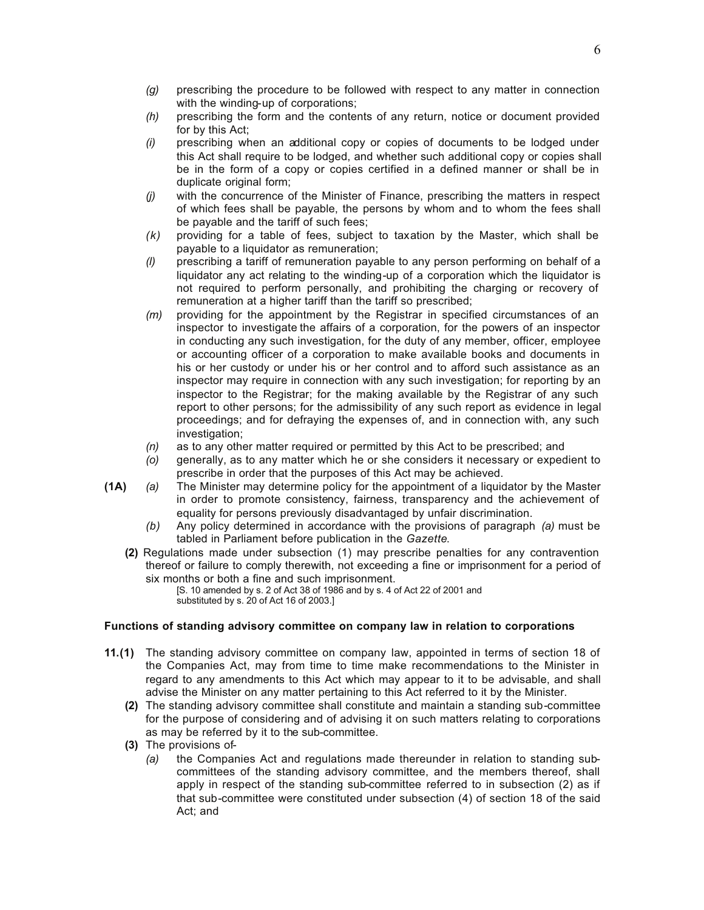- *(g)* prescribing the procedure to be followed with respect to any matter in connection with the winding-up of corporations;
- *(h)* prescribing the form and the contents of any return, notice or document provided for by this Act;
- *(i)* prescribing when an additional copy or copies of documents to be lodged under this Act shall require to be lodged, and whether such additional copy or copies shall be in the form of a copy or copies certified in a defined manner or shall be in duplicate original form;
- *(j)* with the concurrence of the Minister of Finance, prescribing the matters in respect of which fees shall be payable, the persons by whom and to whom the fees shall be payable and the tariff of such fees;
- *(k)* providing for a table of fees, subject to taxation by the Master, which shall be payable to a liquidator as remuneration;
- *(l)* prescribing a tariff of remuneration payable to any person performing on behalf of a liquidator any act relating to the winding-up of a corporation which the liquidator is not required to perform personally, and prohibiting the charging or recovery of remuneration at a higher tariff than the tariff so prescribed;
- *(m)* providing for the appointment by the Registrar in specified circumstances of an inspector to investigate the affairs of a corporation, for the powers of an inspector in conducting any such investigation, for the duty of any member, officer, employee or accounting officer of a corporation to make available books and documents in his or her custody or under his or her control and to afford such assistance as an inspector may require in connection with any such investigation; for reporting by an inspector to the Registrar; for the making available by the Registrar of any such report to other persons; for the admissibility of any such report as evidence in legal proceedings; and for defraying the expenses of, and in connection with, any such investigation;
- *(n)* as to any other matter required or permitted by this Act to be prescribed; and
- *(o)* generally, as to any matter which he or she considers it necessary or expedient to prescribe in order that the purposes of this Act may be achieved.
- **(1A)** *(a)* The Minister may determine policy for the appointment of a liquidator by the Master in order to promote consistency, fairness, transparency and the achievement of equality for persons previously disadvantaged by unfair discrimination.
	- *(b)* Any policy determined in accordance with the provisions of paragraph *(a)* must be tabled in Parliament before publication in the *Gazette*.
	- **(2)** Regulations made under subsection (1) may prescribe penalties for any contravention thereof or failure to comply therewith, not exceeding a fine or imprisonment for a period of six months or both a fine and such imprisonment.

[S. 10 amended by s. 2 of Act 38 of 1986 and by s. 4 of Act 22 of 2001 and substituted by s. 20 of Act 16 of 2003.]

#### **Functions of standing advisory committee on company law in relation to corporations**

- **11.(1)** The standing advisory committee on company law, appointed in terms of section 18 of the Companies Act, may from time to time make recommendations to the Minister in regard to any amendments to this Act which may appear to it to be advisable, and shall advise the Minister on any matter pertaining to this Act referred to it by the Minister.
	- **(2)** The standing advisory committee shall constitute and maintain a standing sub-committee for the purpose of considering and of advising it on such matters relating to corporations as may be referred by it to the sub-committee.
	- **(3)** The provisions of-
		- *(a)* the Companies Act and regulations made thereunder in relation to standing subcommittees of the standing advisory committee, and the members thereof, shall apply in respect of the standing sub-committee referred to in subsection (2) as if that sub-committee were constituted under subsection (4) of section 18 of the said Act; and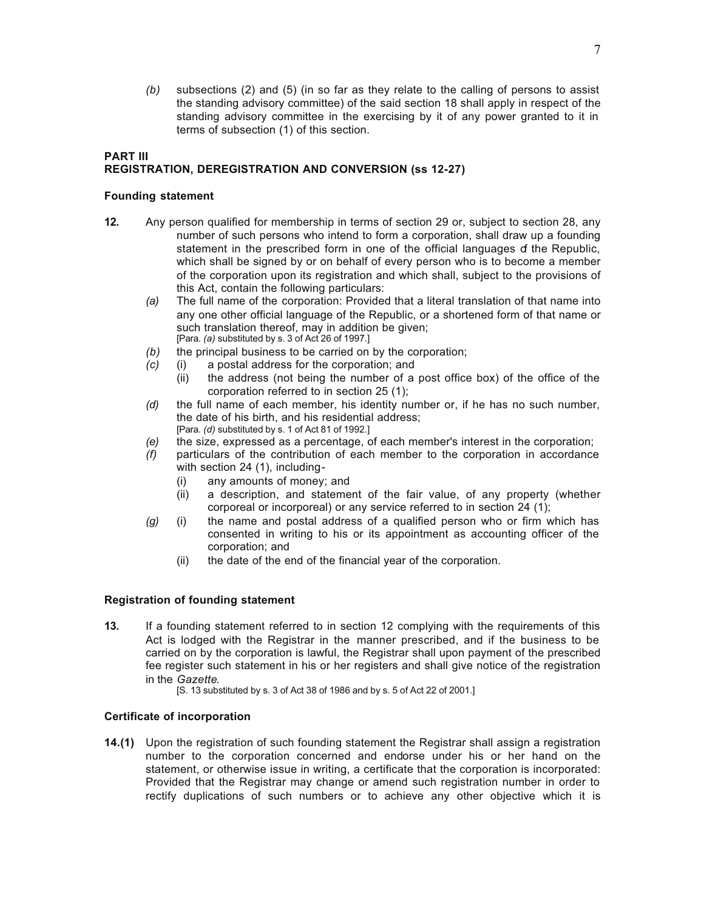*(b)* subsections (2) and (5) (in so far as they relate to the calling of persons to assist the standing advisory committee) of the said section 18 shall apply in respect of the standing advisory committee in the exercising by it of any power granted to it in terms of subsection (1) of this section.

# **PART III REGISTRATION, DEREGISTRATION AND CONVERSION (ss 12-27)**

# **Founding statement**

- **12.** Any person qualified for membership in terms of section 29 or, subject to section 28, any number of such persons who intend to form a corporation, shall draw up a founding statement in the prescribed form in one of the official languages of the Republic. which shall be signed by or on behalf of every person who is to become a member of the corporation upon its registration and which shall, subject to the provisions of this Act, contain the following particulars:
	- *(a)* The full name of the corporation: Provided that a literal translation of that name into any one other official language of the Republic, or a shortened form of that name or such translation thereof, may in addition be given; [Para. *(a)* substituted by s. 3 of Act 26 of 1997.]
	- *(b)* the principal business to be carried on by the corporation;
	- *(c)* (i) a postal address for the corporation; and
		- (ii) the address (not being the number of a post office box) of the office of the corporation referred to in section 25 (1);
	- *(d)* the full name of each member, his identity number or, if he has no such number, the date of his birth, and his residential address; [Para. *(d)* substituted by s. 1 of Act 81 of 1992.]
	- *(e)* the size, expressed as a percentage, of each member's interest in the corporation;
	- *(f)* particulars of the contribution of each member to the corporation in accordance with section 24 (1), including-
		- (i) any amounts of money; and
		- (ii) a description, and statement of the fair value, of any property (whether corporeal or incorporeal) or any service referred to in section 24 (1);
	- *(g)* (i) the name and postal address of a qualified person who or firm which has consented in writing to his or its appointment as accounting officer of the corporation; and
		- (ii) the date of the end of the financial year of the corporation.

# **Registration of founding statement**

- **13.** If a founding statement referred to in section 12 complying with the requirements of this Act is lodged with the Registrar in the manner prescribed, and if the business to be carried on by the corporation is lawful, the Registrar shall upon payment of the prescribed fee register such statement in his or her registers and shall give notice of the registration in the *Gazette*.
	- [S. 13 substituted by s. 3 of Act 38 of 1986 and by s. 5 of Act 22 of 2001.]

# **Certificate of incorporation**

**14.(1)** Upon the registration of such founding statement the Registrar shall assign a registration number to the corporation concerned and endorse under his or her hand on the statement, or otherwise issue in writing, a certificate that the corporation is incorporated: Provided that the Registrar may change or amend such registration number in order to rectify duplications of such numbers or to achieve any other objective which it is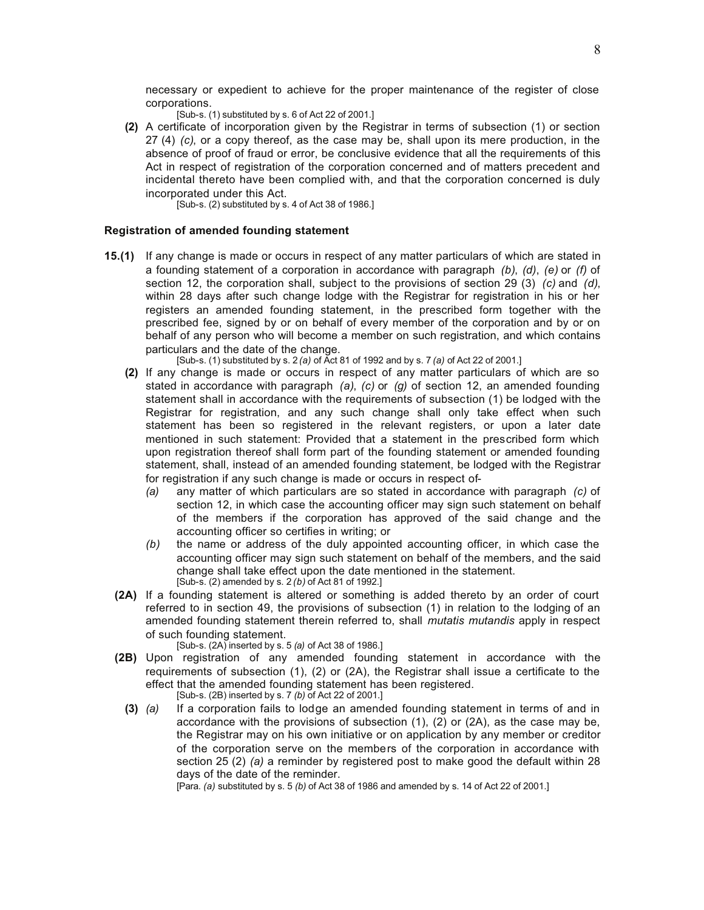necessary or expedient to achieve for the proper maintenance of the register of close corporations.

- [Sub-s. (1) substituted by s. 6 of Act 22 of 2001.]
- **(2)** A certificate of incorporation given by the Registrar in terms of subsection (1) or section 27 (4) *(c)*, or a copy thereof, as the case may be, shall upon its mere production, in the absence of proof of fraud or error, be conclusive evidence that all the requirements of this Act in respect of registration of the corporation concerned and of matters precedent and incidental thereto have been complied with, and that the corporation concerned is duly incorporated under this Act.

[Sub-s. (2) substituted by s. 4 of Act 38 of 1986.]

#### **Registration of amended founding statement**

**15.(1)** If any change is made or occurs in respect of any matter particulars of which are stated in a founding statement of a corporation in accordance with paragraph *(b)*, *(d)*, *(e)* or *(f)* of section 12, the corporation shall, subject to the provisions of section 29 (3) *(c)* and *(d)*, within 28 days after such change lodge with the Registrar for registration in his or her registers an amended founding statement, in the prescribed form together with the prescribed fee, signed by or on behalf of every member of the corporation and by or on behalf of any person who will become a member on such registration, and which contains particulars and the date of the change.

[Sub-s. (1) substituted by s. 2 *(a)* of Act 81 of 1992 and by s. 7 *(a)* of Act 22 of 2001.]

- **(2)** If any change is made or occurs in respect of any matter particulars of which are so stated in accordance with paragraph *(a)*, *(c)* or *(g)* of section 12, an amended founding statement shall in accordance with the requirements of subsection (1) be lodged with the Registrar for registration, and any such change shall only take effect when such statement has been so registered in the relevant registers, or upon a later date mentioned in such statement: Provided that a statement in the prescribed form which upon registration thereof shall form part of the founding statement or amended founding statement, shall, instead of an amended founding statement, be lodged with the Registrar for registration if any such change is made or occurs in respect of-
	- *(a)* any matter of which particulars are so stated in accordance with paragraph *(c)* of section 12, in which case the accounting officer may sign such statement on behalf of the members if the corporation has approved of the said change and the accounting officer so certifies in writing; or
	- *(b)* the name or address of the duly appointed accounting officer, in which case the accounting officer may sign such statement on behalf of the members, and the said change shall take effect upon the date mentioned in the statement. [Sub-s. (2) amended by s. 2 *(b)* of Act 81 of 1992.]
- **(2A)** If a founding statement is altered or something is added thereto by an order of court referred to in section 49, the provisions of subsection (1) in relation to the lodging of an amended founding statement therein referred to, shall *mutatis mutandis* apply in respect of such founding statement.
	- [Sub-s. (2A) inserted by s. 5 *(a)* of Act 38 of 1986.]
- **(2B)** Upon registration of any amended founding statement in accordance with the requirements of subsection (1), (2) or (2A), the Registrar shall issue a certificate to the effect that the amended founding statement has been registered. [Sub-s. (2B) inserted by s. 7 *(b)* of Act 22 of 2001.]
	- **(3)** *(a)* If a corporation fails to lodge an amended founding statement in terms of and in accordance with the provisions of subsection (1), (2) or (2A), as the case may be, the Registrar may on his own initiative or on application by any member or creditor of the corporation serve on the members of the corporation in accordance with section 25 (2) *(a)* a reminder by registered post to make good the default within 28 days of the date of the reminder.

[Para. *(a)* substituted by s. 5 *(b)* of Act 38 of 1986 and amended by s. 14 of Act 22 of 2001.]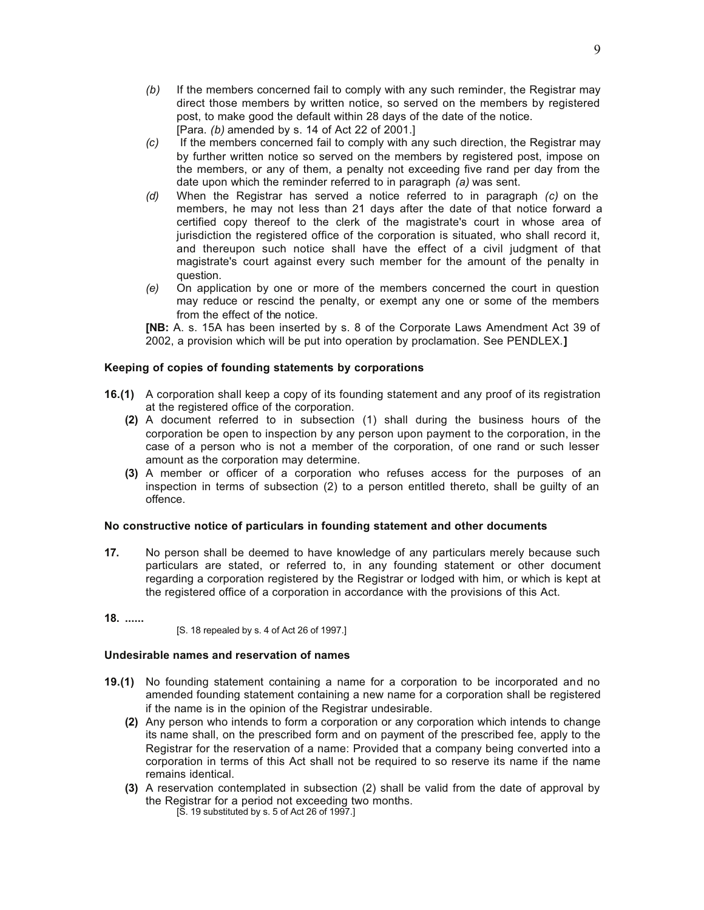- *(b)* If the members concerned fail to comply with any such reminder, the Registrar may direct those members by written notice, so served on the members by registered post, to make good the default within 28 days of the date of the notice. [Para. *(b)* amended by s. 14 of Act 22 of 2001.]
- *(c)* If the members concerned fail to comply with any such direction, the Registrar may by further written notice so served on the members by registered post, impose on the members, or any of them, a penalty not exceeding five rand per day from the date upon which the reminder referred to in paragraph *(a)* was sent.
- *(d)* When the Registrar has served a notice referred to in paragraph *(c)* on the members, he may not less than 21 days after the date of that notice forward a certified copy thereof to the clerk of the magistrate's court in whose area of jurisdiction the registered office of the corporation is situated, who shall record it, and thereupon such notice shall have the effect of a civil judgment of that magistrate's court against every such member for the amount of the penalty in question.
- *(e)* On application by one or more of the members concerned the court in question may reduce or rescind the penalty, or exempt any one or some of the members from the effect of the notice.

**[NB:** A. s. 15A has been inserted by s. 8 of the Corporate Laws Amendment Act 39 of 2002, a provision which will be put into operation by proclamation. See PENDLEX.**]**

## **Keeping of copies of founding statements by corporations**

- **16.(1)** A corporation shall keep a copy of its founding statement and any proof of its registration at the registered office of the corporation.
	- **(2)** A document referred to in subsection (1) shall during the business hours of the corporation be open to inspection by any person upon payment to the corporation, in the case of a person who is not a member of the corporation, of one rand or such lesser amount as the corporation may determine.
	- **(3)** A member or officer of a corporation who refuses access for the purposes of an inspection in terms of subsection (2) to a person entitled thereto, shall be guilty of an offence.

#### **No constructive notice of particulars in founding statement and other documents**

- **17.** No person shall be deemed to have knowledge of any particulars merely because such particulars are stated, or referred to, in any founding statement or other document regarding a corporation registered by the Registrar or lodged with him, or which is kept at the registered office of a corporation in accordance with the provisions of this Act.
- **18. ......**

[S. 18 repealed by s. 4 of Act 26 of 1997.]

#### **Undesirable names and reservation of names**

- **19.(1)** No founding statement containing a name for a corporation to be incorporated and no amended founding statement containing a new name for a corporation shall be registered if the name is in the opinion of the Registrar undesirable.
	- **(2)** Any person who intends to form a corporation or any corporation which intends to change its name shall, on the prescribed form and on payment of the prescribed fee, apply to the Registrar for the reservation of a name: Provided that a company being converted into a corporation in terms of this Act shall not be required to so reserve its name if the name remains identical.
	- **(3)** A reservation contemplated in subsection (2) shall be valid from the date of approval by the Registrar for a period not exceeding two months. [S. 19 substituted by s. 5 of Act 26 of 1997.]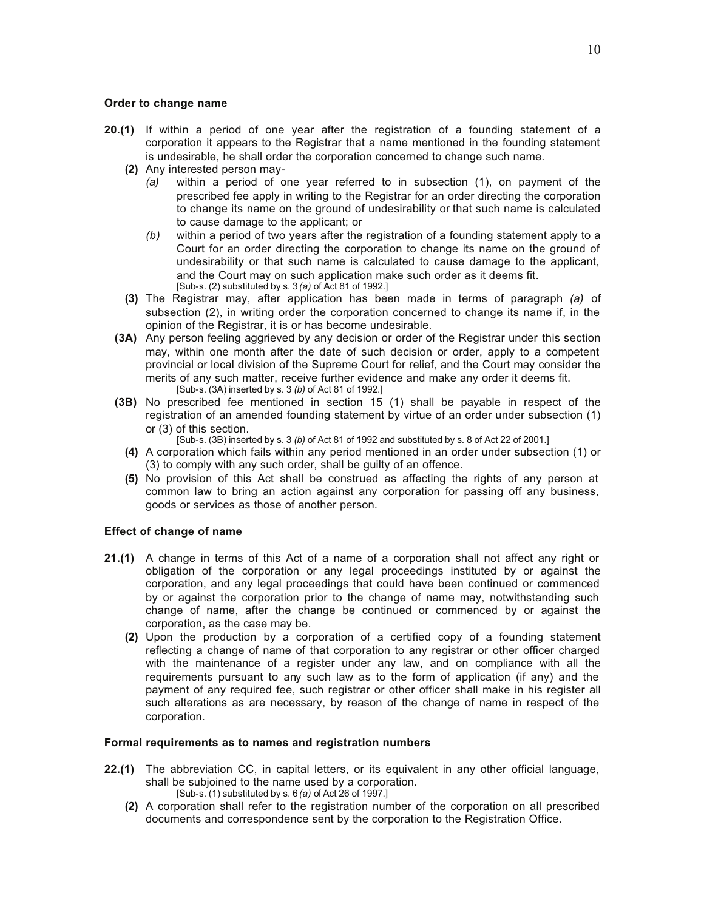#### **Order to change name**

- **20.(1)** If within a period of one year after the registration of a founding statement of a corporation it appears to the Registrar that a name mentioned in the founding statement is undesirable, he shall order the corporation concerned to change such name.
	- **(2)** Any interested person may-
		- *(a)* within a period of one year referred to in subsection (1), on payment of the prescribed fee apply in writing to the Registrar for an order directing the corporation to change its name on the ground of undesirability or that such name is calculated to cause damage to the applicant; or
		- *(b)* within a period of two years after the registration of a founding statement apply to a Court for an order directing the corporation to change its name on the ground of undesirability or that such name is calculated to cause damage to the applicant, and the Court may on such application make such order as it deems fit. [Sub-s. (2) substituted by s. 3 *(a)* of Act 81 of 1992.]
	- **(3)** The Registrar may, after application has been made in terms of paragraph *(a)* of subsection (2), in writing order the corporation concerned to change its name if, in the opinion of the Registrar, it is or has become undesirable.
	- **(3A)** Any person feeling aggrieved by any decision or order of the Registrar under this section may, within one month after the date of such decision or order, apply to a competent provincial or local division of the Supreme Court for relief, and the Court may consider the merits of any such matter, receive further evidence and make any order it deems fit. [Sub-s. (3A) inserted by s. 3 *(b)* of Act 81 of 1992.]
	- **(3B)** No prescribed fee mentioned in section 15 (1) shall be payable in respect of the registration of an amended founding statement by virtue of an order under subsection (1) or (3) of this section.
		- [Sub-s. (3B) inserted by s. 3 *(b)* of Act 81 of 1992 and substituted by s. 8 of Act 22 of 2001.]
		- **(4)** A corporation which fails within any period mentioned in an order under subsection (1) or (3) to comply with any such order, shall be guilty of an offence.
		- **(5)** No provision of this Act shall be construed as affecting the rights of any person at common law to bring an action against any corporation for passing off any business, goods or services as those of another person.

## **Effect of change of name**

- **21.(1)** A change in terms of this Act of a name of a corporation shall not affect any right or obligation of the corporation or any legal proceedings instituted by or against the corporation, and any legal proceedings that could have been continued or commenced by or against the corporation prior to the change of name may, notwithstanding such change of name, after the change be continued or commenced by or against the corporation, as the case may be.
	- **(2)** Upon the production by a corporation of a certified copy of a founding statement reflecting a change of name of that corporation to any registrar or other officer charged with the maintenance of a register under any law, and on compliance with all the requirements pursuant to any such law as to the form of application (if any) and the payment of any required fee, such registrar or other officer shall make in his register all such alterations as are necessary, by reason of the change of name in respect of the corporation.

## **Formal requirements as to names and registration numbers**

- **22.(1)** The abbreviation CC, in capital letters, or its equivalent in any other official language, shall be subjoined to the name used by a corporation. [Sub-s. (1) substituted by s. 6 *(a)* of Act 26 of 1997.]
	- **(2)** A corporation shall refer to the registration number of the corporation on all prescribed documents and correspondence sent by the corporation to the Registration Office.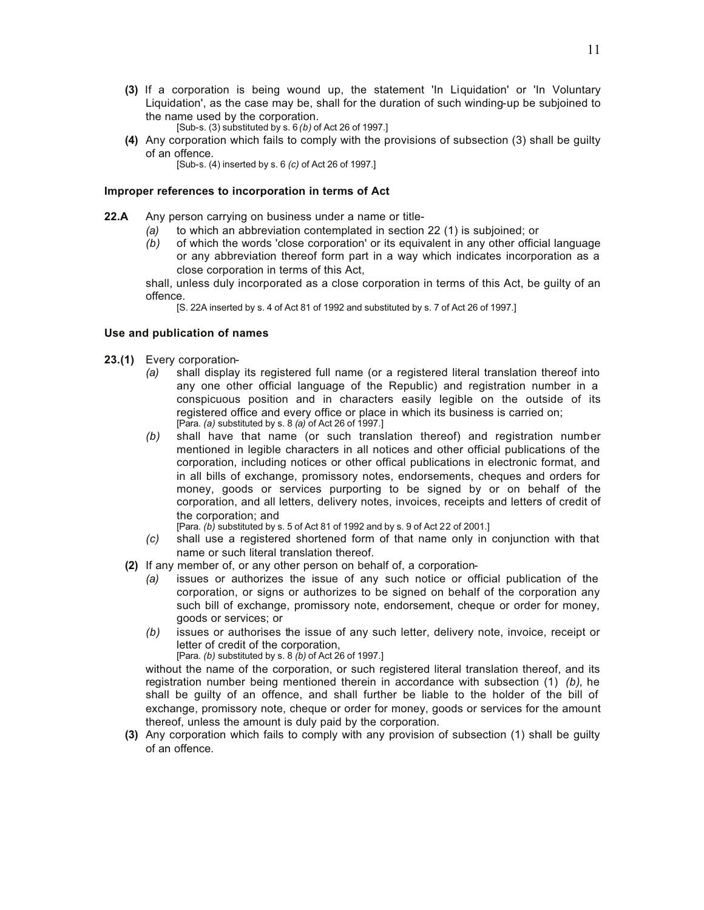- **(3)** If a corporation is being wound up, the statement 'In Liquidation' or 'In Voluntary Liquidation', as the case may be, shall for the duration of such winding-up be subjoined to the name used by the corporation.
	- [Sub-s. (3) substituted by s. 6 *(b)* of Act 26 of 1997.]
- **(4)** Any corporation which fails to comply with the provisions of subsection (3) shall be guilty of an offence.

[Sub-s. (4) inserted by s. 6 *(c)* of Act 26 of 1997.]

#### **Improper references to incorporation in terms of Act**

- **22.A** Any person carrying on business under a name or title-
	- *(a)* to which an abbreviation contemplated in section 22 (1) is subjoined; or
	- *(b)* of which the words 'close corporation' or its equivalent in any other official language or any abbreviation thereof form part in a way which indicates incorporation as a close corporation in terms of this Act,

shall, unless duly incorporated as a close corporation in terms of this Act, be guilty of an offence.

[S. 22A inserted by s. 4 of Act 81 of 1992 and substituted by s. 7 of Act 26 of 1997.]

#### **Use and publication of names**

- **23.(1)** Every corporation-
	- *(a)* shall display its registered full name (or a registered literal translation thereof into any one other official language of the Republic) and registration number in a conspicuous position and in characters easily legible on the outside of its registered office and every office or place in which its business is carried on; [Para. *(a)* substituted by s. 8 *(a)* of Act 26 of 1997.]
	- *(b)* shall have that name (or such translation thereof) and registration number mentioned in legible characters in all notices and other official publications of the corporation, including notices or other offical publications in electronic format, and in all bills of exchange, promissory notes, endorsements, cheques and orders for money, goods or services purporting to be signed by or on behalf of the corporation, and all letters, delivery notes, invoices, receipts and letters of credit of the corporation; and
		- [Para. *(b)* substituted by s. 5 of Act 81 of 1992 and by s. 9 of Act 22 of 2001.]
	- *(c)* shall use a registered shortened form of that name only in conjunction with that name or such literal translation thereof.
	- **(2)** If any member of, or any other person on behalf of, a corporation-
		- *(a)* issues or authorizes the issue of any such notice or official publication of the corporation, or signs or authorizes to be signed on behalf of the corporation any such bill of exchange, promissory note, endorsement, cheque or order for money, goods or services; or
		- *(b)* issues or authorises the issue of any such letter, delivery note, invoice, receipt or letter of credit of the corporation,

[Para. *(b)* substituted by s. 8 *(b)* of Act 26 of 1997.]

without the name of the corporation, or such registered literal translation thereof, and its registration number being mentioned therein in accordance with subsection (1) *(b)*, he shall be guilty of an offence, and shall further be liable to the holder of the bill of exchange, promissory note, cheque or order for money, goods or services for the amount thereof, unless the amount is duly paid by the corporation.

**(3)** Any corporation which fails to comply with any provision of subsection (1) shall be guilty of an offence.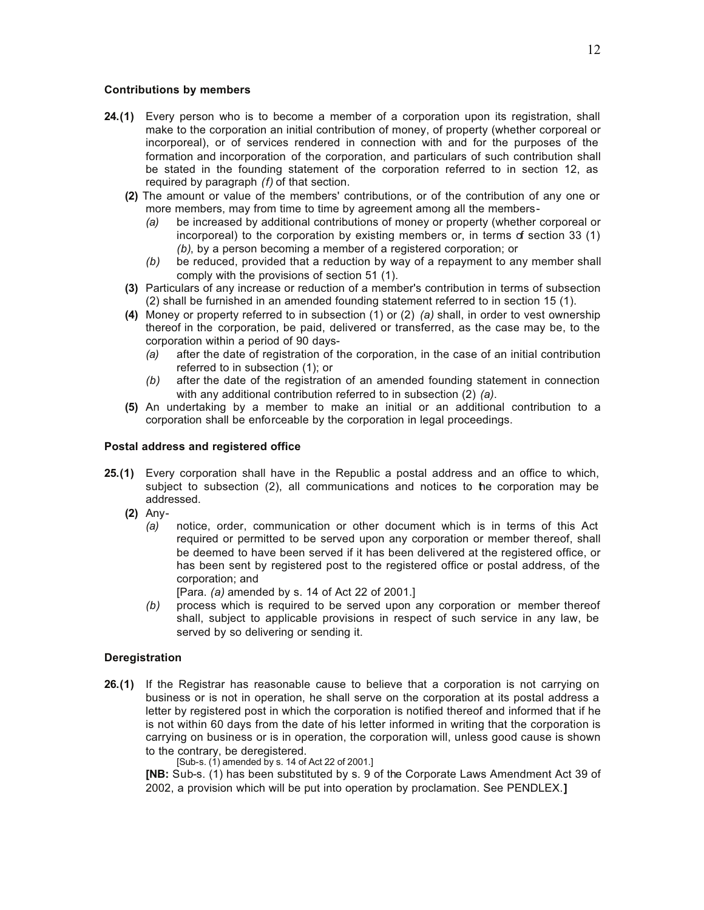#### **Contributions by members**

- **24.(1)** Every person who is to become a member of a corporation upon its registration, shall make to the corporation an initial contribution of money, of property (whether corporeal or incorporeal), or of services rendered in connection with and for the purposes of the formation and incorporation of the corporation, and particulars of such contribution shall be stated in the founding statement of the corporation referred to in section 12, as required by paragraph *(f)* of that section.
	- **(2)** The amount or value of the members' contributions, or of the contribution of any one or more members, may from time to time by agreement among all the members-
		- *(a)* be increased by additional contributions of money or property (whether corporeal or incorporeal) to the corporation by existing members or, in terms of section 33 (1) *(b)*, by a person becoming a member of a registered corporation; or
		- *(b)* be reduced, provided that a reduction by way of a repayment to any member shall comply with the provisions of section 51 (1).
	- **(3)** Particulars of any increase or reduction of a member's contribution in terms of subsection (2) shall be furnished in an amended founding statement referred to in section 15 (1).
	- **(4)** Money or property referred to in subsection (1) or (2) *(a)* shall, in order to vest ownership thereof in the corporation, be paid, delivered or transferred, as the case may be, to the corporation within a period of 90 days-
		- *(a)* after the date of registration of the corporation, in the case of an initial contribution referred to in subsection (1); or
		- *(b)* after the date of the registration of an amended founding statement in connection with any additional contribution referred to in subsection (2) *(a)*.
	- **(5)** An undertaking by a member to make an initial or an additional contribution to a corporation shall be enforceable by the corporation in legal proceedings.

#### **Postal address and registered office**

- **25.(1)** Every corporation shall have in the Republic a postal address and an office to which, subject to subsection (2), all communications and notices to the corporation may be addressed.
	- **(2)** Any-
		- *(a)* notice, order, communication or other document which is in terms of this Act required or permitted to be served upon any corporation or member thereof, shall be deemed to have been served if it has been delivered at the registered office, or has been sent by registered post to the registered office or postal address, of the corporation; and
			- [Para. *(a)* amended by s. 14 of Act 22 of 2001.]
		- *(b)* process which is required to be served upon any corporation or member thereof shall, subject to applicable provisions in respect of such service in any law, be served by so delivering or sending it.

## **Deregistration**

**26.(1)** If the Registrar has reasonable cause to believe that a corporation is not carrying on business or is not in operation, he shall serve on the corporation at its postal address a letter by registered post in which the corporation is notified thereof and informed that if he is not within 60 days from the date of his letter informed in writing that the corporation is carrying on business or is in operation, the corporation will, unless good cause is shown to the contrary, be deregistered.

[Sub-s. (1) amended by s. 14 of Act 22 of 2001.]

**[NB:** Sub-s. (1) has been substituted by s. 9 of the Corporate Laws Amendment Act 39 of 2002, a provision which will be put into operation by proclamation. See PENDLEX.**]**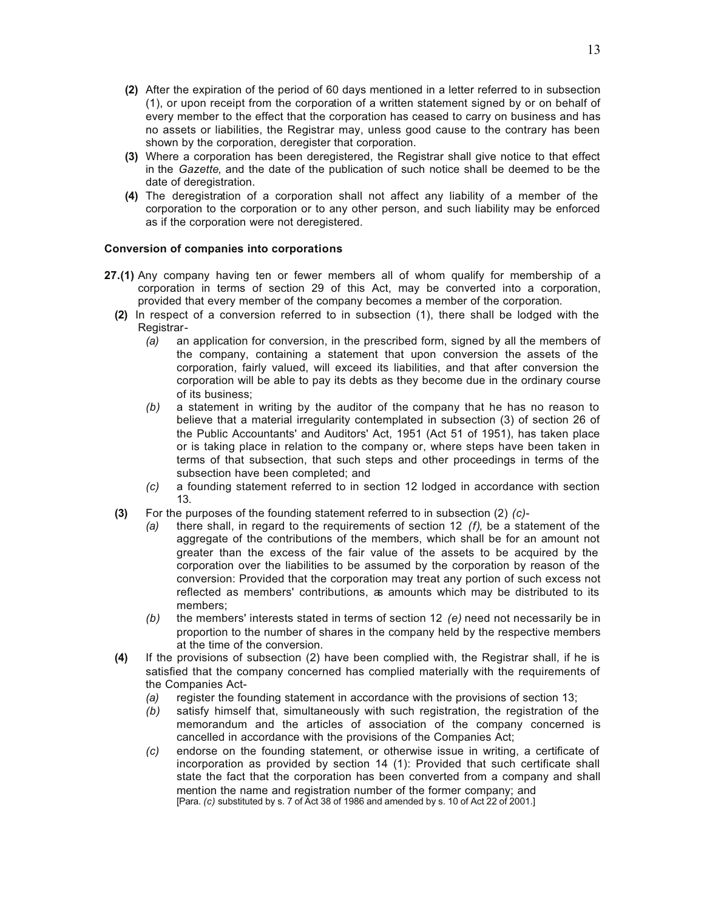- **(2)** After the expiration of the period of 60 days mentioned in a letter referred to in subsection (1), or upon receipt from the corporation of a written statement signed by or on behalf of every member to the effect that the corporation has ceased to carry on business and has no assets or liabilities, the Registrar may, unless good cause to the contrary has been shown by the corporation, deregister that corporation.
- **(3)** Where a corporation has been deregistered, the Registrar shall give notice to that effect in the *Gazette*, and the date of the publication of such notice shall be deemed to be the date of deregistration.
- **(4)** The deregistration of a corporation shall not affect any liability of a member of the corporation to the corporation or to any other person, and such liability may be enforced as if the corporation were not deregistered.

## **Conversion of companies into corporations**

- **27.(1)** Any company having ten or fewer members all of whom qualify for membership of a corporation in terms of section 29 of this Act, may be converted into a corporation, provided that every member of the company becomes a member of the corporation.
	- **(2)** In respect of a conversion referred to in subsection (1), there shall be lodged with the Registrar-
		- *(a)* an application for conversion, in the prescribed form, signed by all the members of the company, containing a statement that upon conversion the assets of the corporation, fairly valued, will exceed its liabilities, and that after conversion the corporation will be able to pay its debts as they become due in the ordinary course of its business;
		- *(b)* a statement in writing by the auditor of the company that he has no reason to believe that a material irregularity contemplated in subsection (3) of section 26 of the Public Accountants' and Auditors' Act, 1951 (Act 51 of 1951), has taken place or is taking place in relation to the company or, where steps have been taken in terms of that subsection, that such steps and other proceedings in terms of the subsection have been completed; and
		- *(c)* a founding statement referred to in section 12 lodged in accordance with section 13.
	- **(3)** For the purposes of the founding statement referred to in subsection (2) *(c)*
		- *(a)* there shall, in regard to the requirements of section 12 *(f)*, be a statement of the aggregate of the contributions of the members, which shall be for an amount not greater than the excess of the fair value of the assets to be acquired by the corporation over the liabilities to be assumed by the corporation by reason of the conversion: Provided that the corporation may treat any portion of such excess not reflected as members' contributions, as amounts which may be distributed to its members;
		- *(b)* the members' interests stated in terms of section 12 *(e)* need not necessarily be in proportion to the number of shares in the company held by the respective members at the time of the conversion.
	- **(4)** If the provisions of subsection (2) have been complied with, the Registrar shall, if he is satisfied that the company concerned has complied materially with the requirements of the Companies Act-
		- *(a)* register the founding statement in accordance with the provisions of section 13;
		- *(b)* satisfy himself that, simultaneously with such registration, the registration of the memorandum and the articles of association of the company concerned is cancelled in accordance with the provisions of the Companies Act;
		- *(c)* endorse on the founding statement, or otherwise issue in writing, a certificate of incorporation as provided by section 14 (1): Provided that such certificate shall state the fact that the corporation has been converted from a company and shall mention the name and registration number of the former company; and [Para. *(c)* substituted by s. 7 of Act 38 of 1986 and amended by s. 10 of Act 22 of 2001.]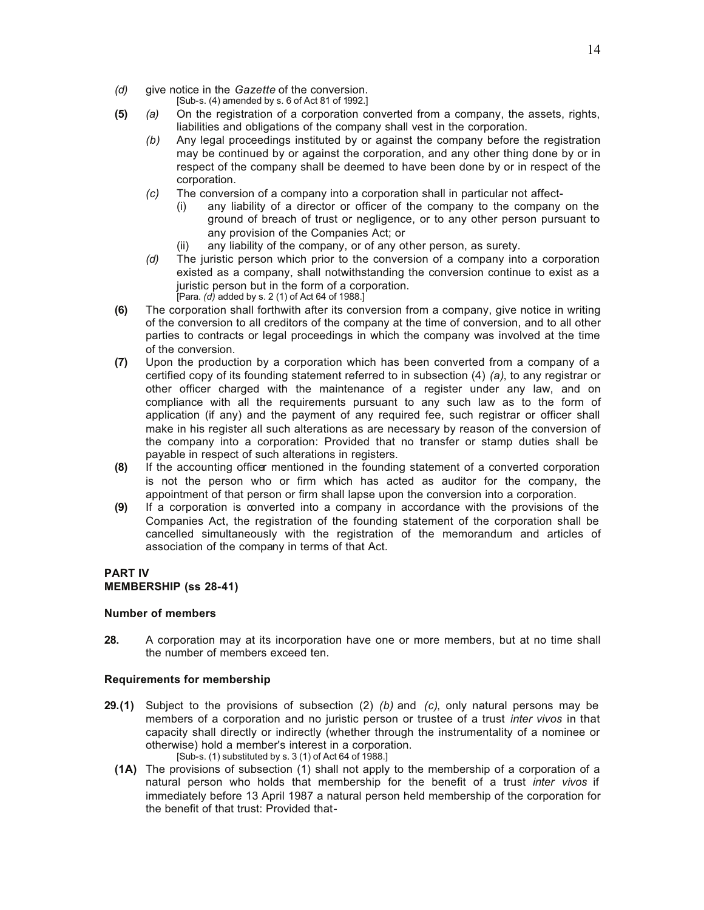- *(d)* give notice in the *Gazette* of the conversion.
	- [Sub-s. (4) amended by s. 6 of Act 81 of 1992.]
- **(5)** *(a)* On the registration of a corporation converted from a company, the assets, rights, liabilities and obligations of the company shall vest in the corporation.
	- *(b)* Any legal proceedings instituted by or against the company before the registration may be continued by or against the corporation, and any other thing done by or in respect of the company shall be deemed to have been done by or in respect of the corporation.
	- *(c)* The conversion of a company into a corporation shall in particular not affect-
		- (i) any liability of a director or officer of the company to the company on the ground of breach of trust or negligence, or to any other person pursuant to any provision of the Companies Act; or
		- (ii) any liability of the company, or of any other person, as surety.
	- *(d)* The juristic person which prior to the conversion of a company into a corporation existed as a company, shall notwithstanding the conversion continue to exist as a juristic person but in the form of a corporation. [Para. *(d)* added by s. 2 (1) of Act 64 of 1988.]
- **(6)** The corporation shall forthwith after its conversion from a company, give notice in writing of the conversion to all creditors of the company at the time of conversion, and to all other parties to contracts or legal proceedings in which the company was involved at the time of the conversion.
- **(7)** Upon the production by a corporation which has been converted from a company of a certified copy of its founding statement referred to in subsection (4) *(a)*, to any registrar or other officer charged with the maintenance of a register under any law, and on compliance with all the requirements pursuant to any such law as to the form of application (if any) and the payment of any required fee, such registrar or officer shall make in his register all such alterations as are necessary by reason of the conversion of the company into a corporation: Provided that no transfer or stamp duties shall be payable in respect of such alterations in registers.
- **(8)** If the accounting officer mentioned in the founding statement of a converted corporation is not the person who or firm which has acted as auditor for the company, the appointment of that person or firm shall lapse upon the conversion into a corporation.
- **(9)** If a corporation is converted into a company in accordance with the provisions of the Companies Act, the registration of the founding statement of the corporation shall be cancelled simultaneously with the registration of the memorandum and articles of association of the company in terms of that Act.

## **PART IV MEMBERSHIP (ss 28-41)**

## **Number of members**

**28.** A corporation may at its incorporation have one or more members, but at no time shall the number of members exceed ten.

## **Requirements for membership**

- **29.(1)** Subject to the provisions of subsection (2) *(b)* and *(c)*, only natural persons may be members of a corporation and no juristic person or trustee of a trust *inter vivos* in that capacity shall directly or indirectly (whether through the instrumentality of a nominee or otherwise) hold a member's interest in a corporation. [Sub-s. (1) substituted by s. 3 (1) of Act 64 of 1988.]
	- **(1A)** The provisions of subsection (1) shall not apply to the membership of a corporation of a natural person who holds that membership for the benefit of a trust *inter vivos* if immediately before 13 April 1987 a natural person held membership of the corporation for the benefit of that trust: Provided that-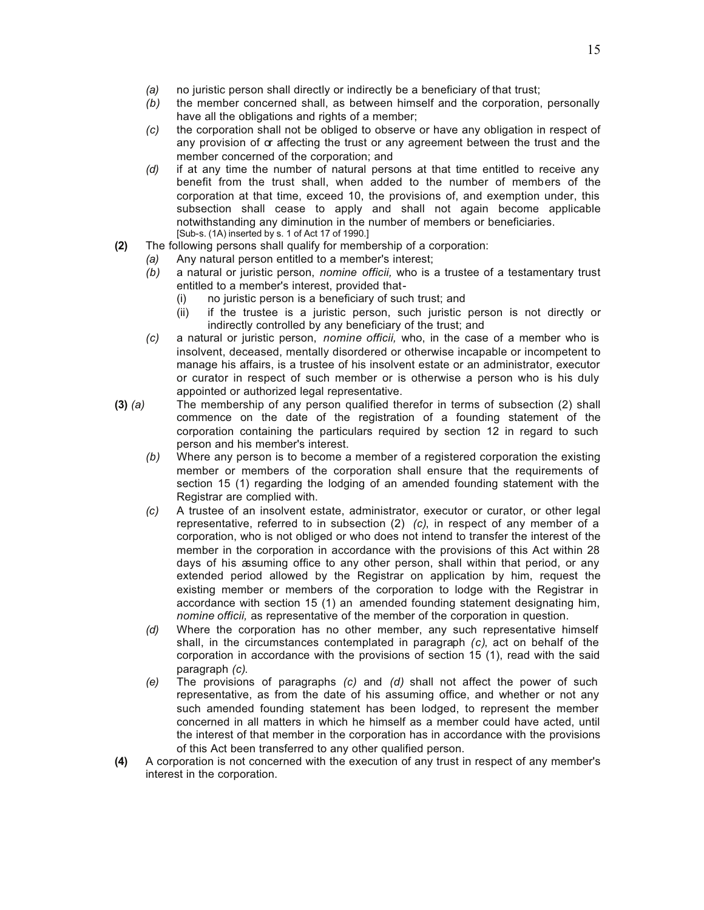- *(a)* no juristic person shall directly or indirectly be a beneficiary of that trust;
- *(b)* the member concerned shall, as between himself and the corporation, personally have all the obligations and rights of a member;
- *(c)* the corporation shall not be obliged to observe or have any obligation in respect of any provision of  $\alpha$  affecting the trust or any agreement between the trust and the member concerned of the corporation; and
- *(d)* if at any time the number of natural persons at that time entitled to receive any benefit from the trust shall, when added to the number of members of the corporation at that time, exceed 10, the provisions of, and exemption under, this subsection shall cease to apply and shall not again become applicable notwithstanding any diminution in the number of members or beneficiaries. [Sub-s. (1A) inserted by s. 1 of Act 17 of 1990.]
- **(2)** The following persons shall qualify for membership of a corporation:
	- *(a)* Any natural person entitled to a member's interest;
		- *(b)* a natural or juristic person, *nomine officii,* who is a trustee of a testamentary trust entitled to a member's interest, provided that-
			- (i) no juristic person is a beneficiary of such trust; and
			- (ii) if the trustee is a juristic person, such juristic person is not directly or indirectly controlled by any beneficiary of the trust; and
		- *(c)* a natural or juristic person, *nomine officii,* who, in the case of a member who is insolvent, deceased, mentally disordered or otherwise incapable or incompetent to manage his affairs, is a trustee of his insolvent estate or an administrator, executor or curator in respect of such member or is otherwise a person who is his duly appointed or authorized legal representative.
- **(3)** *(a)* The membership of any person qualified therefor in terms of subsection (2) shall commence on the date of the registration of a founding statement of the corporation containing the particulars required by section 12 in regard to such person and his member's interest.
	- *(b)* Where any person is to become a member of a registered corporation the existing member or members of the corporation shall ensure that the requirements of section 15 (1) regarding the lodging of an amended founding statement with the Registrar are complied with.
	- *(c)* A trustee of an insolvent estate, administrator, executor or curator, or other legal representative, referred to in subsection (2) *(c)*, in respect of any member of a corporation, who is not obliged or who does not intend to transfer the interest of the member in the corporation in accordance with the provisions of this Act within 28 days of his assuming office to any other person, shall within that period, or any extended period allowed by the Registrar on application by him, request the existing member or members of the corporation to lodge with the Registrar in accordance with section 15 (1) an amended founding statement designating him, *nomine officii,* as representative of the member of the corporation in question.
	- *(d)* Where the corporation has no other member, any such representative himself shall, in the circumstances contemplated in paragraph *(c)*, act on behalf of the corporation in accordance with the provisions of section 15 (1), read with the said paragraph *(c)*.
	- *(e)* The provisions of paragraphs *(c)* and *(d)* shall not affect the power of such representative, as from the date of his assuming office, and whether or not any such amended founding statement has been lodged, to represent the member concerned in all matters in which he himself as a member could have acted, until the interest of that member in the corporation has in accordance with the provisions of this Act been transferred to any other qualified person.
- **(4)** A corporation is not concerned with the execution of any trust in respect of any member's interest in the corporation.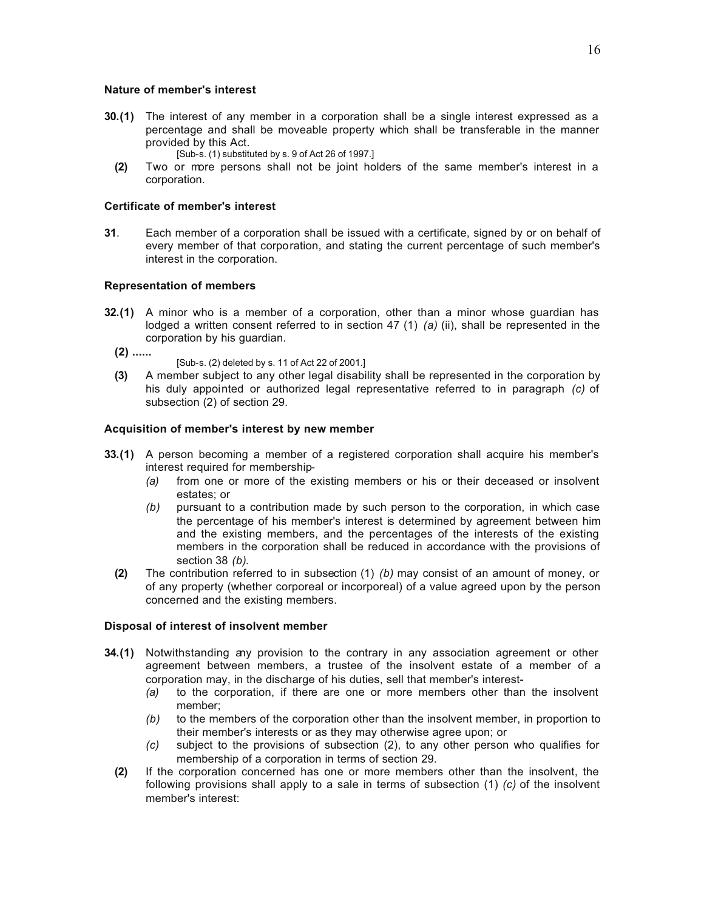#### **Nature of member's interest**

- **30.(1)** The interest of any member in a corporation shall be a single interest expressed as a percentage and shall be moveable property which shall be transferable in the manner provided by this Act.
	- [Sub-s. (1) substituted by s. 9 of Act 26 of 1997.]
	- **(2)** Two or more persons shall not be joint holders of the same member's interest in a corporation.

#### **Certificate of member's interest**

**31**. Each member of a corporation shall be issued with a certificate, signed by or on behalf of every member of that corporation, and stating the current percentage of such member's interest in the corporation.

#### **Representation of members**

**32.(1)** A minor who is a member of a corporation, other than a minor whose guardian has lodged a written consent referred to in section 47 (1) *(a)* (ii), shall be represented in the corporation by his guardian.

**(2) ......**

- [Sub-s. (2) deleted by s. 11 of Act 22 of 2001.]
- **(3)** A member subject to any other legal disability shall be represented in the corporation by his duly appointed or authorized legal representative referred to in paragraph *(c)* of subsection (2) of section 29.

#### **Acquisition of member's interest by new member**

- **33.(1)** A person becoming a member of a registered corporation shall acquire his member's interest required for membership-
	- *(a)* from one or more of the existing members or his or their deceased or insolvent estates; or
	- *(b)* pursuant to a contribution made by such person to the corporation, in which case the percentage of his member's interest is determined by agreement between him and the existing members, and the percentages of the interests of the existing members in the corporation shall be reduced in accordance with the provisions of section 38 *(b)*.
	- **(2)** The contribution referred to in subsection (1) *(b)* may consist of an amount of money, or of any property (whether corporeal or incorporeal) of a value agreed upon by the person concerned and the existing members.

#### **Disposal of interest of insolvent member**

- **34.(1)** Notwithstanding any provision to the contrary in any association agreement or other agreement between members, a trustee of the insolvent estate of a member of a corporation may, in the discharge of his duties, sell that member's interest-
	- *(a)* to the corporation, if there are one or more members other than the insolvent member;
	- *(b)* to the members of the corporation other than the insolvent member, in proportion to their member's interests or as they may otherwise agree upon; or
	- *(c)* subject to the provisions of subsection (2), to any other person who qualifies for membership of a corporation in terms of section 29.
	- **(2)** If the corporation concerned has one or more members other than the insolvent, the following provisions shall apply to a sale in terms of subsection (1) *(c)* of the insolvent member's interest: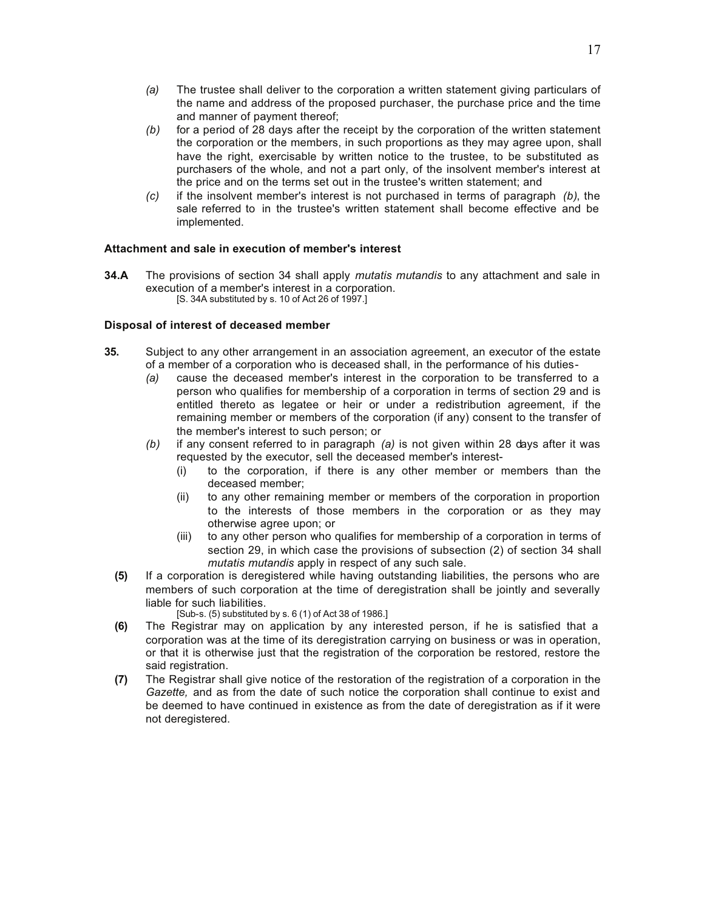- *(a)* The trustee shall deliver to the corporation a written statement giving particulars of the name and address of the proposed purchaser, the purchase price and the time and manner of payment thereof;
- *(b)* for a period of 28 days after the receipt by the corporation of the written statement the corporation or the members, in such proportions as they may agree upon, shall have the right, exercisable by written notice to the trustee, to be substituted as purchasers of the whole, and not a part only, of the insolvent member's interest at the price and on the terms set out in the trustee's written statement; and
- *(c)* if the insolvent member's interest is not purchased in terms of paragraph *(b)*, the sale referred to in the trustee's written statement shall become effective and be implemented.

## **Attachment and sale in execution of member's interest**

**34.A** The provisions of section 34 shall apply *mutatis mutandis* to any attachment and sale in execution of a member's interest in a corporation. [S. 34A substituted by s. 10 of Act 26 of 1997.]

# **Disposal of interest of deceased member**

- **35.** Subject to any other arrangement in an association agreement, an executor of the estate of a member of a corporation who is deceased shall, in the performance of his duties-
	- *(a)* cause the deceased member's interest in the corporation to be transferred to a person who qualifies for membership of a corporation in terms of section 29 and is entitled thereto as legatee or heir or under a redistribution agreement, if the remaining member or members of the corporation (if any) consent to the transfer of the member's interest to such person; or
	- *(b)* if any consent referred to in paragraph *(a)* is not given within 28 days after it was requested by the executor, sell the deceased member's interest-
		- (i) to the corporation, if there is any other member or members than the deceased member;
		- (ii) to any other remaining member or members of the corporation in proportion to the interests of those members in the corporation or as they may otherwise agree upon; or
		- (iii) to any other person who qualifies for membership of a corporation in terms of section 29, in which case the provisions of subsection (2) of section 34 shall *mutatis mutandis* apply in respect of any such sale.
	- **(5)** If a corporation is deregistered while having outstanding liabilities, the persons who are members of such corporation at the time of deregistration shall be jointly and severally liable for such liabilities.
		- [Sub-s. (5) substituted by s. 6 (1) of Act 38 of 1986.]
	- **(6)** The Registrar may on application by any interested person, if he is satisfied that a corporation was at the time of its deregistration carrying on business or was in operation, or that it is otherwise just that the registration of the corporation be restored, restore the said registration.
	- **(7)** The Registrar shall give notice of the restoration of the registration of a corporation in the *Gazette,* and as from the date of such notice the corporation shall continue to exist and be deemed to have continued in existence as from the date of deregistration as if it were not deregistered.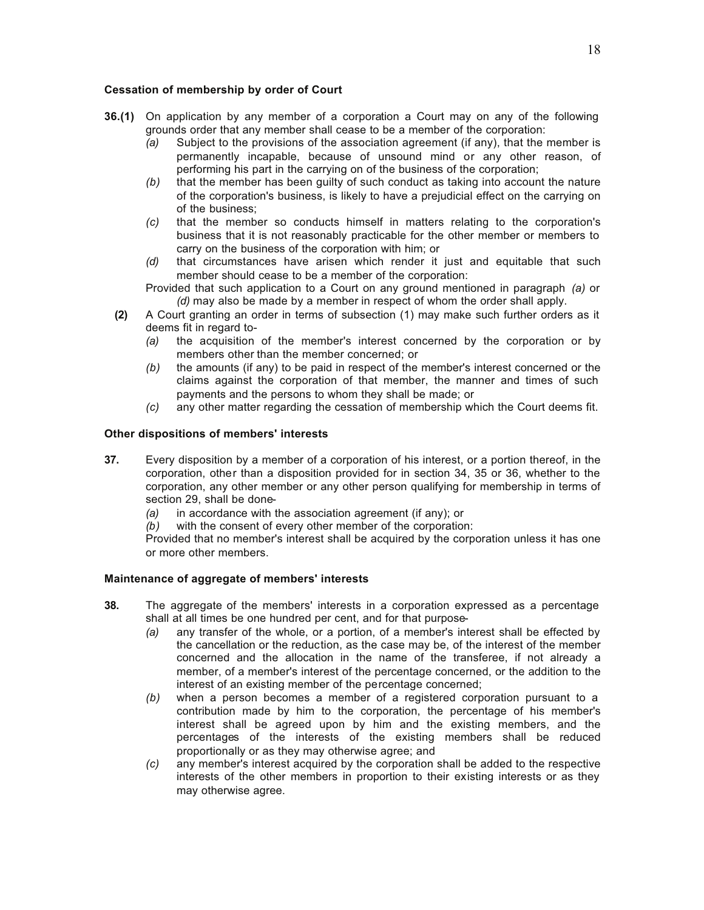## **Cessation of membership by order of Court**

- **36.(1)** On application by any member of a corporation a Court may on any of the following grounds order that any member shall cease to be a member of the corporation:
	- *(a)* Subject to the provisions of the association agreement (if any), that the member is permanently incapable, because of unsound mind or any other reason, of performing his part in the carrying on of the business of the corporation;
	- *(b)* that the member has been guilty of such conduct as taking into account the nature of the corporation's business, is likely to have a prejudicial effect on the carrying on of the business;
	- *(c)* that the member so conducts himself in matters relating to the corporation's business that it is not reasonably practicable for the other member or members to carry on the business of the corporation with him; or
	- *(d)* that circumstances have arisen which render it just and equitable that such member should cease to be a member of the corporation:

Provided that such application to a Court on any ground mentioned in paragraph *(a)* or *(d)* may also be made by a member in respect of whom the order shall apply.

- **(2)** A Court granting an order in terms of subsection (1) may make such further orders as it deems fit in regard to-
	- *(a)* the acquisition of the member's interest concerned by the corporation or by members other than the member concerned; or
	- *(b)* the amounts (if any) to be paid in respect of the member's interest concerned or the claims against the corporation of that member, the manner and times of such payments and the persons to whom they shall be made; or
	- *(c)* any other matter regarding the cessation of membership which the Court deems fit.

## **Other dispositions of members' interests**

- **37.** Every disposition by a member of a corporation of his interest, or a portion thereof, in the corporation, other than a disposition provided for in section 34, 35 or 36, whether to the corporation, any other member or any other person qualifying for membership in terms of section 29, shall be done-
	- *(a)* in accordance with the association agreement (if any); or
	- *(b)* with the consent of every other member of the corporation:

Provided that no member's interest shall be acquired by the corporation unless it has one or more other members.

## **Maintenance of aggregate of members' interests**

- **38.** The aggregate of the members' interests in a corporation expressed as a percentage shall at all times be one hundred per cent, and for that purpose-
	- *(a)* any transfer of the whole, or a portion, of a member's interest shall be effected by the cancellation or the reduction, as the case may be, of the interest of the member concerned and the allocation in the name of the transferee, if not already a member, of a member's interest of the percentage concerned, or the addition to the interest of an existing member of the percentage concerned;
	- *(b)* when a person becomes a member of a registered corporation pursuant to a contribution made by him to the corporation, the percentage of his member's interest shall be agreed upon by him and the existing members, and the percentages of the interests of the existing members shall be reduced proportionally or as they may otherwise agree; and
	- *(c)* any member's interest acquired by the corporation shall be added to the respective interests of the other members in proportion to their existing interests or as they may otherwise agree.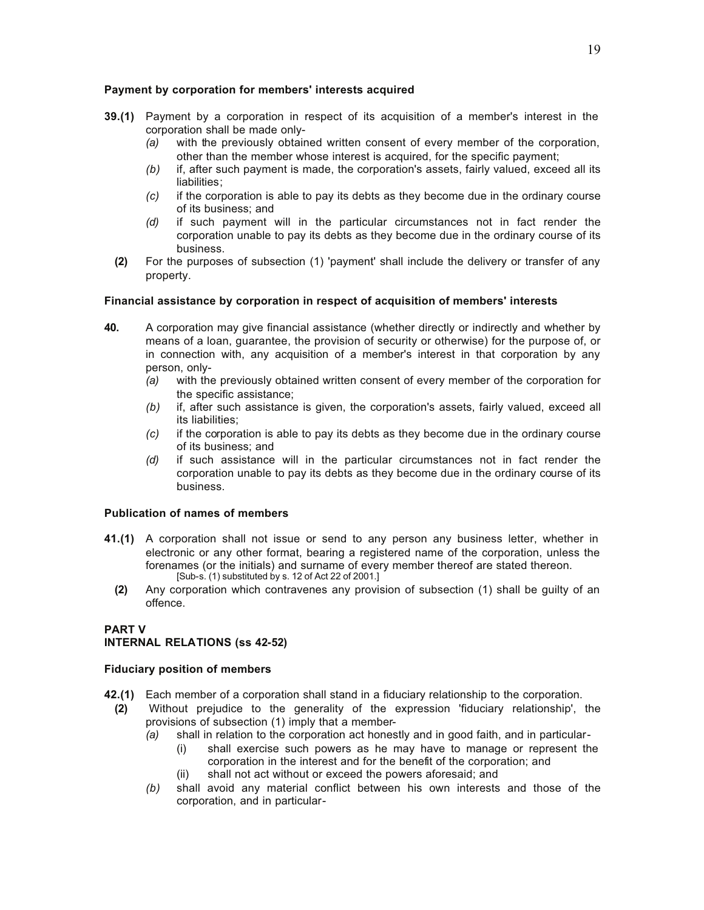## **Payment by corporation for members' interests acquired**

- **39.(1)** Payment by a corporation in respect of its acquisition of a member's interest in the corporation shall be made only-
	- *(a)* with the previously obtained written consent of every member of the corporation, other than the member whose interest is acquired, for the specific payment;
	- *(b)* if, after such payment is made, the corporation's assets, fairly valued, exceed all its liabilities;
	- *(c)* if the corporation is able to pay its debts as they become due in the ordinary course of its business; and
	- *(d)* if such payment will in the particular circumstances not in fact render the corporation unable to pay its debts as they become due in the ordinary course of its business.
	- **(2)** For the purposes of subsection (1) 'payment' shall include the delivery or transfer of any property.

# **Financial assistance by corporation in respect of acquisition of members' interests**

- **40.** A corporation may give financial assistance (whether directly or indirectly and whether by means of a loan, guarantee, the provision of security or otherwise) for the purpose of, or in connection with, any acquisition of a member's interest in that corporation by any person, only-
	- *(a)* with the previously obtained written consent of every member of the corporation for the specific assistance;
	- *(b)* if, after such assistance is given, the corporation's assets, fairly valued, exceed all its liabilities;
	- *(c)* if the corporation is able to pay its debts as they become due in the ordinary course of its business; and
	- *(d)* if such assistance will in the particular circumstances not in fact render the corporation unable to pay its debts as they become due in the ordinary course of its business.

## **Publication of names of members**

- **41.(1)** A corporation shall not issue or send to any person any business letter, whether in electronic or any other format, bearing a registered name of the corporation, unless the forenames (or the initials) and surname of every member thereof are stated thereon.  $[Sub-s]$ . (1) substituted by s. 12 of Act 22 of 2001.]
	- **(2)** Any corporation which contravenes any provision of subsection (1) shall be guilty of an offence.

# **PART V**

# **INTERNAL RELATIONS (ss 42-52)**

## **Fiduciary position of members**

- **42.(1)** Each member of a corporation shall stand in a fiduciary relationship to the corporation.
	- **(2)** Without prejudice to the generality of the expression 'fiduciary relationship', the provisions of subsection (1) imply that a member-
		- *(a)* shall in relation to the corporation act honestly and in good faith, and in particular-
			- (i) shall exercise such powers as he may have to manage or represent the corporation in the interest and for the benefit of the corporation; and
			- (ii) shall not act without or exceed the powers aforesaid; and
		- *(b)* shall avoid any material conflict between his own interests and those of the corporation, and in particular-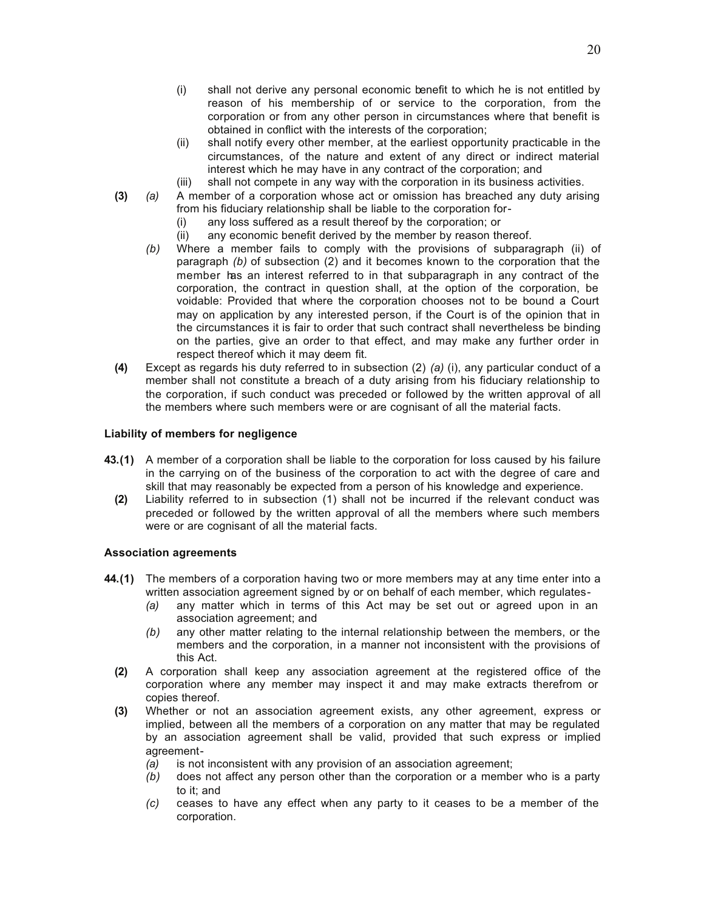- (i) shall not derive any personal economic benefit to which he is not entitled by reason of his membership of or service to the corporation, from the corporation or from any other person in circumstances where that benefit is obtained in conflict with the interests of the corporation;
- (ii) shall notify every other member, at the earliest opportunity practicable in the circumstances, of the nature and extent of any direct or indirect material interest which he may have in any contract of the corporation; and
- (iii) shall not compete in any way with the corporation in its business activities.
- **(3)** *(a)* A member of a corporation whose act or omission has breached any duty arising from his fiduciary relationship shall be liable to the corporation for-
	- (i) any loss suffered as a result thereof by the corporation; or
	- (ii) any economic benefit derived by the member by reason thereof.
	- *(b)* Where a member fails to comply with the provisions of subparagraph (ii) of paragraph *(b)* of subsection (2) and it becomes known to the corporation that the member has an interest referred to in that subparagraph in any contract of the corporation, the contract in question shall, at the option of the corporation, be voidable: Provided that where the corporation chooses not to be bound a Court may on application by any interested person, if the Court is of the opinion that in the circumstances it is fair to order that such contract shall nevertheless be binding on the parties, give an order to that effect, and may make any further order in respect thereof which it may deem fit.
- **(4)** Except as regards his duty referred to in subsection (2) *(a)* (i), any particular conduct of a member shall not constitute a breach of a duty arising from his fiduciary relationship to the corporation, if such conduct was preceded or followed by the written approval of all the members where such members were or are cognisant of all the material facts.

# **Liability of members for negligence**

- **43.(1)** A member of a corporation shall be liable to the corporation for loss caused by his failure in the carrying on of the business of the corporation to act with the degree of care and skill that may reasonably be expected from a person of his knowledge and experience.
	- **(2)** Liability referred to in subsection (1) shall not be incurred if the relevant conduct was preceded or followed by the written approval of all the members where such members were or are cognisant of all the material facts.

# **Association agreements**

- **44.(1)** The members of a corporation having two or more members may at any time enter into a written association agreement signed by or on behalf of each member, which regulates-
	- *(a)* any matter which in terms of this Act may be set out or agreed upon in an association agreement; and
	- *(b)* any other matter relating to the internal relationship between the members, or the members and the corporation, in a manner not inconsistent with the provisions of this Act.
	- **(2)** A corporation shall keep any association agreement at the registered office of the corporation where any member may inspect it and may make extracts therefrom or copies thereof.
	- **(3)** Whether or not an association agreement exists, any other agreement, express or implied, between all the members of a corporation on any matter that may be regulated by an association agreement shall be valid, provided that such express or implied agreement-
		- *(a)* is not inconsistent with any provision of an association agreement;
		- *(b)* does not affect any person other than the corporation or a member who is a party to it; and
		- *(c)* ceases to have any effect when any party to it ceases to be a member of the corporation.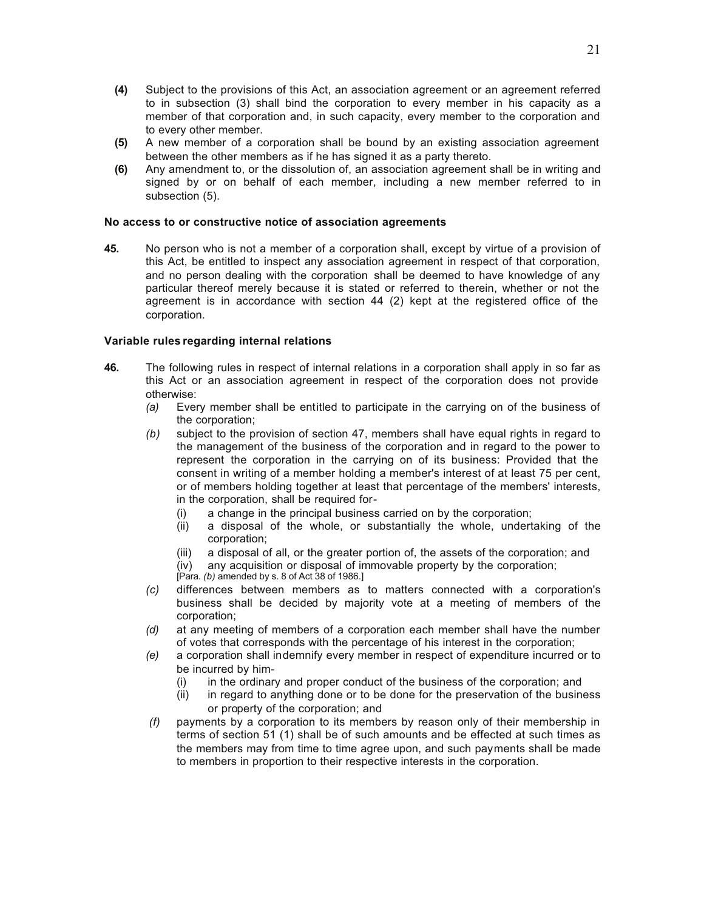- **(4)** Subject to the provisions of this Act, an association agreement or an agreement referred to in subsection (3) shall bind the corporation to every member in his capacity as a member of that corporation and, in such capacity, every member to the corporation and to every other member.
- **(5)** A new member of a corporation shall be bound by an existing association agreement between the other members as if he has signed it as a party thereto.
- **(6)** Any amendment to, or the dissolution of, an association agreement shall be in writing and signed by or on behalf of each member, including a new member referred to in subsection (5).

#### **No access to or constructive notice of association agreements**

**45.** No person who is not a member of a corporation shall, except by virtue of a provision of this Act, be entitled to inspect any association agreement in respect of that corporation, and no person dealing with the corporation shall be deemed to have knowledge of any particular thereof merely because it is stated or referred to therein, whether or not the agreement is in accordance with section 44 (2) kept at the registered office of the corporation.

#### **Variable rules regarding internal relations**

- **46.** The following rules in respect of internal relations in a corporation shall apply in so far as this Act or an association agreement in respect of the corporation does not provide otherwise:
	- *(a)* Every member shall be entitled to participate in the carrying on of the business of the corporation;
	- *(b)* subject to the provision of section 47, members shall have equal rights in regard to the management of the business of the corporation and in regard to the power to represent the corporation in the carrying on of its business: Provided that the consent in writing of a member holding a member's interest of at least 75 per cent, or of members holding together at least that percentage of the members' interests, in the corporation, shall be required for-
		- (i) a change in the principal business carried on by the corporation;
		- (ii) a disposal of the whole, or substantially the whole, undertaking of the corporation;
		- (iii) a disposal of all, or the greater portion of, the assets of the corporation; and
		- any acquisition or disposal of immovable property by the corporation; (iv) any acquisition or disposal of in<br>[Para. *(b)* amended by s. 8 of Act 38 of 1986.]
		-
	- *(c)* differences between members as to matters connected with a corporation's business shall be decided by majority vote at a meeting of members of the corporation;
	- *(d)* at any meeting of members of a corporation each member shall have the number of votes that corresponds with the percentage of his interest in the corporation;
	- *(e)* a corporation shall indemnify every member in respect of expenditure incurred or to be incurred by him-
		- (i) in the ordinary and proper conduct of the business of the corporation; and
		- (ii) in regard to anything done or to be done for the preservation of the business or property of the corporation; and
	- *(f)* payments by a corporation to its members by reason only of their membership in terms of section 51 (1) shall be of such amounts and be effected at such times as the members may from time to time agree upon, and such payments shall be made to members in proportion to their respective interests in the corporation.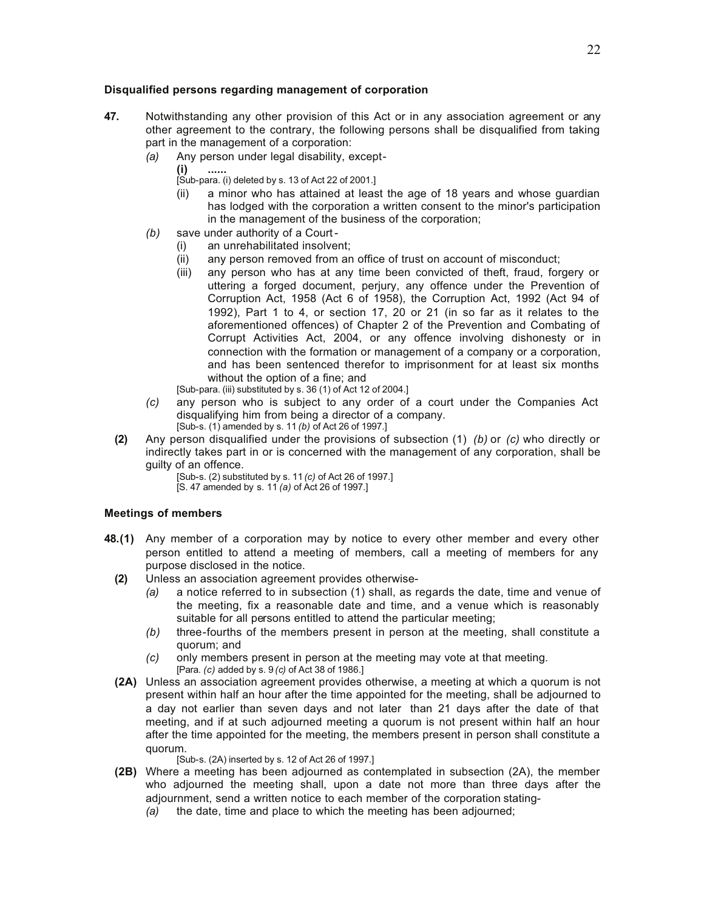## **Disqualified persons regarding management of corporation**

- **47.** Notwithstanding any other provision of this Act or in any association agreement or any other agreement to the contrary, the following persons shall be disqualified from taking part in the management of a corporation:
	- *(a)* Any person under legal disability, except-
		- **(i) ......**

[Sub-para. (i) deleted by s. 13 of Act 22 of 2001.]

- (ii) a minor who has attained at least the age of 18 years and whose guardian has lodged with the corporation a written consent to the minor's participation in the management of the business of the corporation;
- *(b)* save under authority of a Court
	- (i) an unrehabilitated insolvent;
	- (ii) any person removed from an office of trust on account of misconduct;
	- (iii) any person who has at any time been convicted of theft, fraud, forgery or uttering a forged document, perjury, any offence under the Prevention of Corruption Act, 1958 (Act 6 of 1958), the Corruption Act, 1992 (Act 94 of 1992), Part 1 to 4, or section 17, 20 or 21 (in so far as it relates to the aforementioned offences) of Chapter 2 of the Prevention and Combating of Corrupt Activities Act, 2004, or any offence involving dishonesty or in connection with the formation or management of a company or a corporation, and has been sentenced therefor to imprisonment for at least six months without the option of a fine; and

[Sub-para. (iii) substituted by s. 36 (1) of Act 12 of 2004.]

- *(c)* any person who is subject to any order of a court under the Companies Act disqualifying him from being a director of a company. [Sub-s. (1) amended by s. 11 *(b)* of Act 26 of 1997.]
- **(2)** Any person disqualified under the provisions of subsection (1) *(b)* or *(c)* who directly or indirectly takes part in or is concerned with the management of any corporation, shall be guilty of an offence.

[Sub-s. (2) substituted by s. 11 *(c)* of Act 26 of 1997.] [S. 47 amended by s. 11 *(a)* of Act 26 of 1997.]

## **Meetings of members**

- **48.(1)** Any member of a corporation may by notice to every other member and every other person entitled to attend a meeting of members, call a meeting of members for any purpose disclosed in the notice.
	- **(2)** Unless an association agreement provides otherwise-
		- *(a)* a notice referred to in subsection (1) shall, as regards the date, time and venue of the meeting, fix a reasonable date and time, and a venue which is reasonably suitable for all persons entitled to attend the particular meeting;
		- *(b)* three-fourths of the members present in person at the meeting, shall constitute a quorum; and
		- *(c)* only members present in person at the meeting may vote at that meeting. [Para. *(c)* added by s. 9 *(c)* of Act 38 of 1986.]
	- **(2A)** Unless an association agreement provides otherwise, a meeting at which a quorum is not present within half an hour after the time appointed for the meeting, shall be adjourned to a day not earlier than seven days and not later than 21 days after the date of that meeting, and if at such adjourned meeting a quorum is not present within half an hour after the time appointed for the meeting, the members present in person shall constitute a quorum.

[Sub-s. (2A) inserted by s. 12 of Act 26 of 1997.]

- **(2B)** Where a meeting has been adjourned as contemplated in subsection (2A), the member who adjourned the meeting shall, upon a date not more than three days after the adjournment, send a written notice to each member of the corporation stating-
	- *(a)* the date, time and place to which the meeting has been adjourned;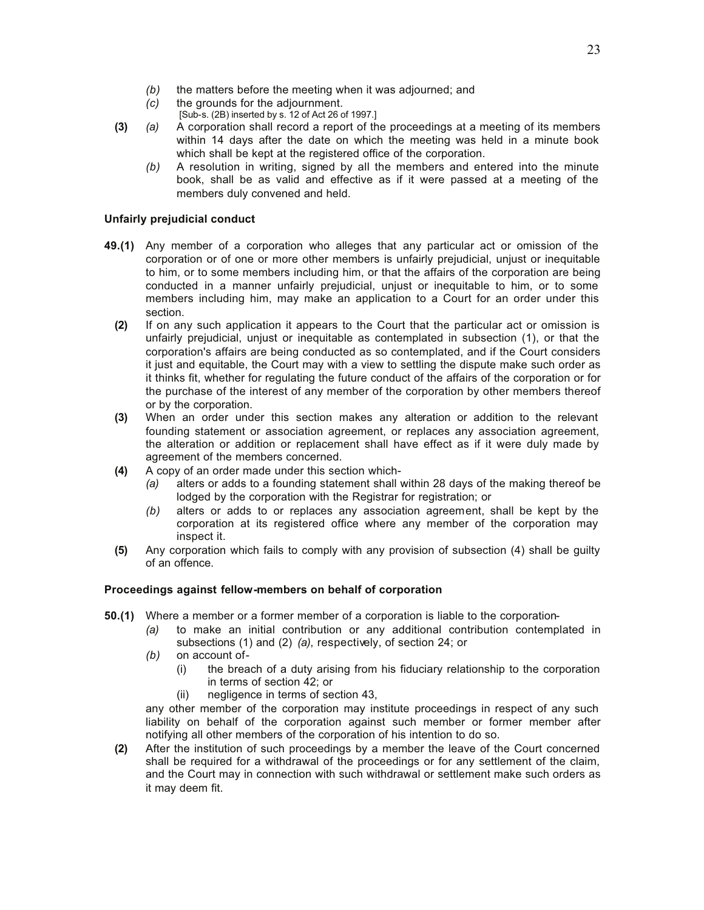- *(b)* the matters before the meeting when it was adjourned; and
- *(c)* the grounds for the adjournment.
	- [Sub-s. (2B) inserted by s. 12 of Act 26 of 1997.]
- **(3)** *(a)* A corporation shall record a report of the proceedings at a meeting of its members within 14 days after the date on which the meeting was held in a minute book which shall be kept at the registered office of the corporation.
	- *(b)* A resolution in writing, signed by all the members and entered into the minute book, shall be as valid and effective as if it were passed at a meeting of the members duly convened and held.

# **Unfairly prejudicial conduct**

- **49.(1)** Any member of a corporation who alleges that any particular act or omission of the corporation or of one or more other members is unfairly prejudicial, unjust or inequitable to him, or to some members including him, or that the affairs of the corporation are being conducted in a manner unfairly prejudicial, unjust or inequitable to him, or to some members including him, may make an application to a Court for an order under this section.
	- **(2)** If on any such application it appears to the Court that the particular act or omission is unfairly prejudicial, unjust or inequitable as contemplated in subsection (1), or that the corporation's affairs are being conducted as so contemplated, and if the Court considers it just and equitable, the Court may with a view to settling the dispute make such order as it thinks fit, whether for regulating the future conduct of the affairs of the corporation or for the purchase of the interest of any member of the corporation by other members thereof or by the corporation.
	- **(3)** When an order under this section makes any alteration or addition to the relevant founding statement or association agreement, or replaces any association agreement, the alteration or addition or replacement shall have effect as if it were duly made by agreement of the members concerned.
	- **(4)** A copy of an order made under this section which-
		- *(a)* alters or adds to a founding statement shall within 28 days of the making thereof be lodged by the corporation with the Registrar for registration; or
		- *(b)* alters or adds to or replaces any association agreement, shall be kept by the corporation at its registered office where any member of the corporation may inspect it.
	- **(5)** Any corporation which fails to comply with any provision of subsection (4) shall be guilty of an offence.

## **Proceedings against fellow-members on behalf of corporation**

- **50.(1)** Where a member or a former member of a corporation is liable to the corporation-
	- *(a)* to make an initial contribution or any additional contribution contemplated in subsections (1) and (2) *(a)*, respectively, of section 24; or
	- *(b)* on account of-
		- (i) the breach of a duty arising from his fiduciary relationship to the corporation in terms of section 42; or
		- (ii) negligence in terms of section 43,

any other member of the corporation may institute proceedings in respect of any such liability on behalf of the corporation against such member or former member after notifying all other members of the corporation of his intention to do so.

**(2)** After the institution of such proceedings by a member the leave of the Court concerned shall be required for a withdrawal of the proceedings or for any settlement of the claim, and the Court may in connection with such withdrawal or settlement make such orders as it may deem fit.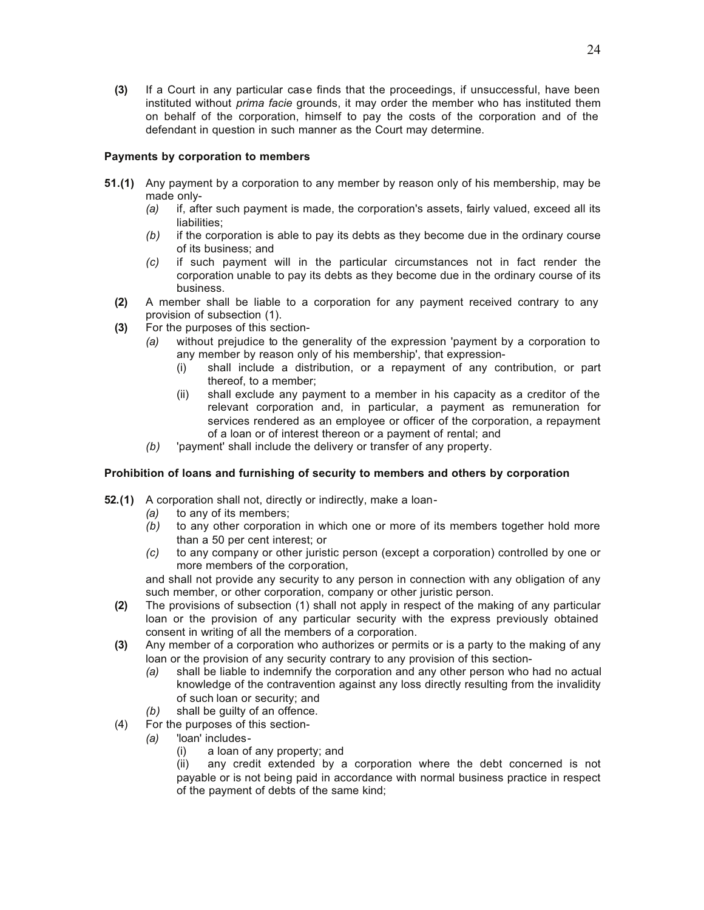**(3)** If a Court in any particular case finds that the proceedings, if unsuccessful, have been instituted without *prima facie* grounds, it may order the member who has instituted them on behalf of the corporation, himself to pay the costs of the corporation and of the defendant in question in such manner as the Court may determine.

## **Payments by corporation to members**

- **51.(1)** Any payment by a corporation to any member by reason only of his membership, may be made only-
	- *(a)* if, after such payment is made, the corporation's assets, fairly valued, exceed all its liabilities;
	- *(b)* if the corporation is able to pay its debts as they become due in the ordinary course of its business; and
	- *(c)* if such payment will in the particular circumstances not in fact render the corporation unable to pay its debts as they become due in the ordinary course of its business.
	- **(2)** A member shall be liable to a corporation for any payment received contrary to any provision of subsection (1).
	- **(3)** For the purposes of this section-
		- *(a)* without prejudice to the generality of the expression 'payment by a corporation to any member by reason only of his membership', that expression-
			- (i) shall include a distribution, or a repayment of any contribution, or part thereof, to a member;
			- (ii) shall exclude any payment to a member in his capacity as a creditor of the relevant corporation and, in particular, a payment as remuneration for services rendered as an employee or officer of the corporation, a repayment of a loan or of interest thereon or a payment of rental; and
		- *(b)* 'payment' shall include the delivery or transfer of any property.

## **Prohibition of loans and furnishing of security to members and others by corporation**

- **52.(1)** A corporation shall not, directly or indirectly, make a loan-
	- *(a)* to any of its members;
	- *(b)* to any other corporation in which one or more of its members together hold more than a 50 per cent interest; or
	- *(c)* to any company or other juristic person (except a corporation) controlled by one or more members of the corporation,

and shall not provide any security to any person in connection with any obligation of any such member, or other corporation, company or other juristic person.

- **(2)** The provisions of subsection (1) shall not apply in respect of the making of any particular loan or the provision of any particular security with the express previously obtained consent in writing of all the members of a corporation.
- **(3)** Any member of a corporation who authorizes or permits or is a party to the making of any loan or the provision of any security contrary to any provision of this section-
	- *(a)* shall be liable to indemnify the corporation and any other person who had no actual knowledge of the contravention against any loss directly resulting from the invalidity of such loan or security; and
	- *(b)* shall be guilty of an offence.
- (4) For the purposes of this section-
	- *(a)* 'loan' includes-
		- (i) a loan of any property; and

(ii) any credit extended by a corporation where the debt concerned is not payable or is not being paid in accordance with normal business practice in respect of the payment of debts of the same kind;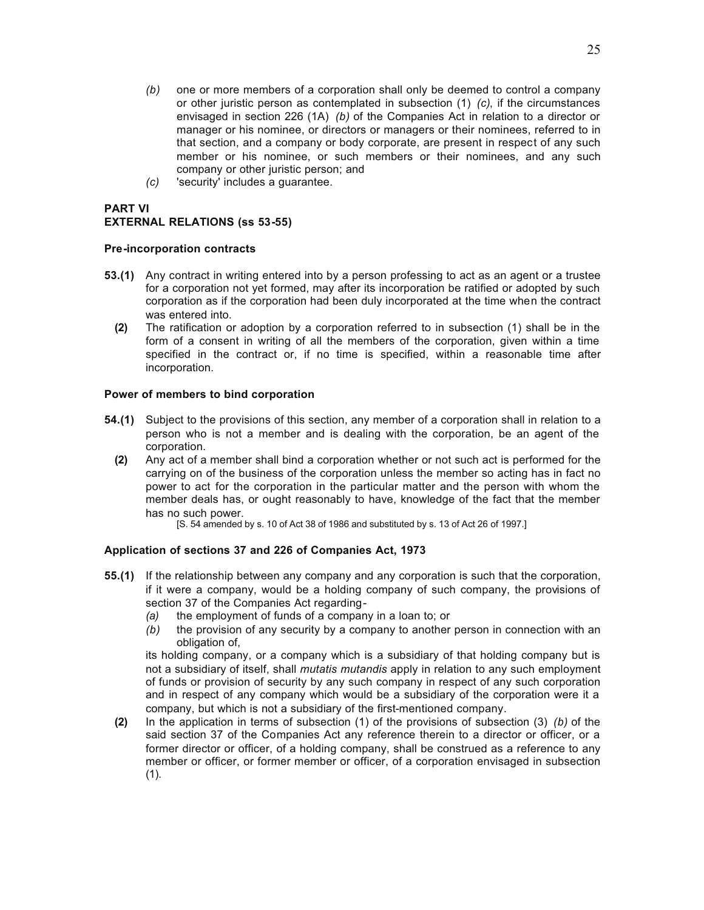- *(b)* one or more members of a corporation shall only be deemed to control a company or other juristic person as contemplated in subsection (1) *(c)*, if the circumstances envisaged in section 226 (1A) *(b)* of the Companies Act in relation to a director or manager or his nominee, or directors or managers or their nominees, referred to in that section, and a company or body corporate, are present in respect of any such member or his nominee, or such members or their nominees, and any such company or other juristic person; and
- *(c)* 'security' includes a guarantee.

# **PART VI EXTERNAL RELATIONS (ss 53-55)**

# **Pre-incorporation contracts**

- **53.(1)** Any contract in writing entered into by a person professing to act as an agent or a trustee for a corporation not yet formed, may after its incorporation be ratified or adopted by such corporation as if the corporation had been duly incorporated at the time when the contract was entered into.
	- **(2)** The ratification or adoption by a corporation referred to in subsection (1) shall be in the form of a consent in writing of all the members of the corporation, given within a time specified in the contract or, if no time is specified, within a reasonable time after incorporation.

# **Power of members to bind corporation**

- **54.(1)** Subject to the provisions of this section, any member of a corporation shall in relation to a person who is not a member and is dealing with the corporation, be an agent of the corporation.
	- **(2)** Any act of a member shall bind a corporation whether or not such act is performed for the carrying on of the business of the corporation unless the member so acting has in fact no power to act for the corporation in the particular matter and the person with whom the member deals has, or ought reasonably to have, knowledge of the fact that the member has no such power.

[S. 54 amended by s. 10 of Act 38 of 1986 and substituted by s. 13 of Act 26 of 1997.]

# **Application of sections 37 and 226 of Companies Act, 1973**

- **55.(1)** If the relationship between any company and any corporation is such that the corporation, if it were a company, would be a holding company of such company, the provisions of section 37 of the Companies Act regarding-
	- *(a)* the employment of funds of a company in a loan to; or
	- *(b)* the provision of any security by a company to another person in connection with an obligation of,

its holding company, or a company which is a subsidiary of that holding company but is not a subsidiary of itself, shall *mutatis mutandis* apply in relation to any such employment of funds or provision of security by any such company in respect of any such corporation and in respect of any company which would be a subsidiary of the corporation were it a company, but which is not a subsidiary of the first-mentioned company.

**(2)** In the application in terms of subsection (1) of the provisions of subsection (3) *(b)* of the said section 37 of the Companies Act any reference therein to a director or officer, or a former director or officer, of a holding company, shall be construed as a reference to any member or officer, or former member or officer, of a corporation envisaged in subsection  $(1)$ .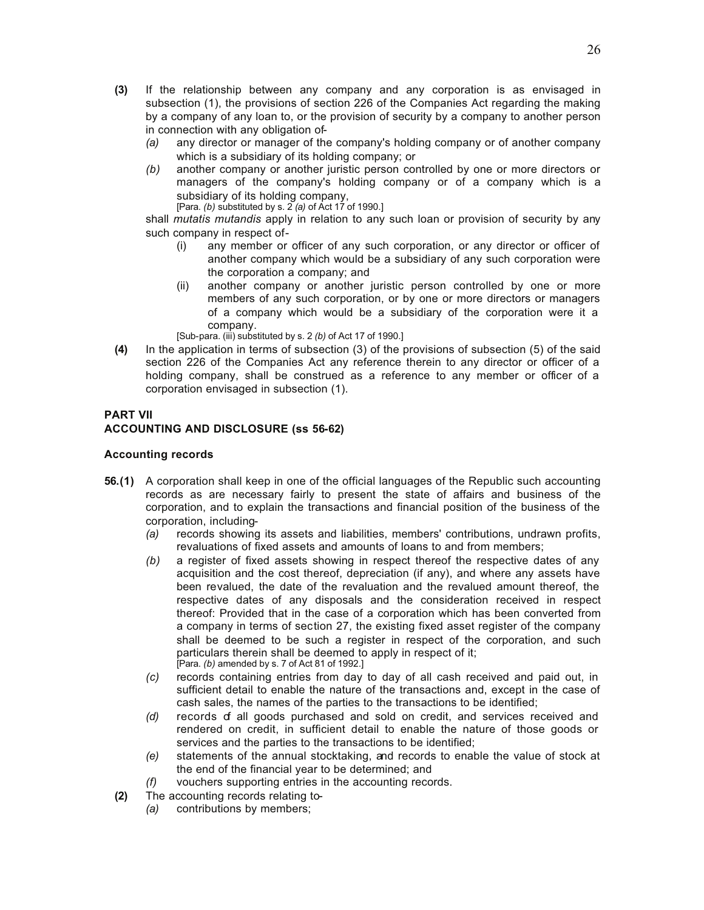- **(3)** If the relationship between any company and any corporation is as envisaged in subsection (1), the provisions of section 226 of the Companies Act regarding the making by a company of any loan to, or the provision of security by a company to another person in connection with any obligation of-
	- *(a)* any director or manager of the company's holding company or of another company which is a subsidiary of its holding company; or
	- *(b)* another company or another juristic person controlled by one or more directors or managers of the company's holding company or of a company which is a subsidiary of its holding company, [Para. *(b)* substituted by s. 2 *(a)* of Act 17 of 1990.]

shall *mutatis mutandis* apply in relation to any such loan or provision of security by any such company in respect of-

- (i) any member or officer of any such corporation, or any director or officer of another company which would be a subsidiary of any such corporation were the corporation a company; and
- (ii) another company or another juristic person controlled by one or more members of any such corporation, or by one or more directors or managers of a company which would be a subsidiary of the corporation were it a company.

[Sub-para. (iii) substituted by s. 2 *(b)* of Act 17 of 1990.]

**(4)** In the application in terms of subsection (3) of the provisions of subsection (5) of the said section 226 of the Companies Act any reference therein to any director or officer of a holding company, shall be construed as a reference to any member or officer of a corporation envisaged in subsection (1).

# **PART VII**

# **ACCOUNTING AND DISCLOSURE (ss 56-62)**

#### **Accounting records**

- **56.(1)** A corporation shall keep in one of the official languages of the Republic such accounting records as are necessary fairly to present the state of affairs and business of the corporation, and to explain the transactions and financial position of the business of the corporation, including-
	- *(a)* records showing its assets and liabilities, members' contributions, undrawn profits, revaluations of fixed assets and amounts of loans to and from members;
	- *(b)* a register of fixed assets showing in respect thereof the respective dates of any acquisition and the cost thereof, depreciation (if any), and where any assets have been revalued, the date of the revaluation and the revalued amount thereof, the respective dates of any disposals and the consideration received in respect thereof: Provided that in the case of a corporation which has been converted from a company in terms of section 27, the existing fixed asset register of the company shall be deemed to be such a register in respect of the corporation, and such particulars therein shall be deemed to apply in respect of it; [Para. *(b)* amended by s. 7 of Act 81 of 1992.]
	- *(c)* records containing entries from day to day of all cash received and paid out, in sufficient detail to enable the nature of the transactions and, except in the case of cash sales, the names of the parties to the transactions to be identified;
	- *(d)* records of all goods purchased and sold on credit, and services received and rendered on credit, in sufficient detail to enable the nature of those goods or services and the parties to the transactions to be identified;
	- *(e)* statements of the annual stocktaking, and records to enable the value of stock at the end of the financial year to be determined; and
	- *(f)* vouchers supporting entries in the accounting records.
	- **(2)** The accounting records relating to-
		- *(a)* contributions by members;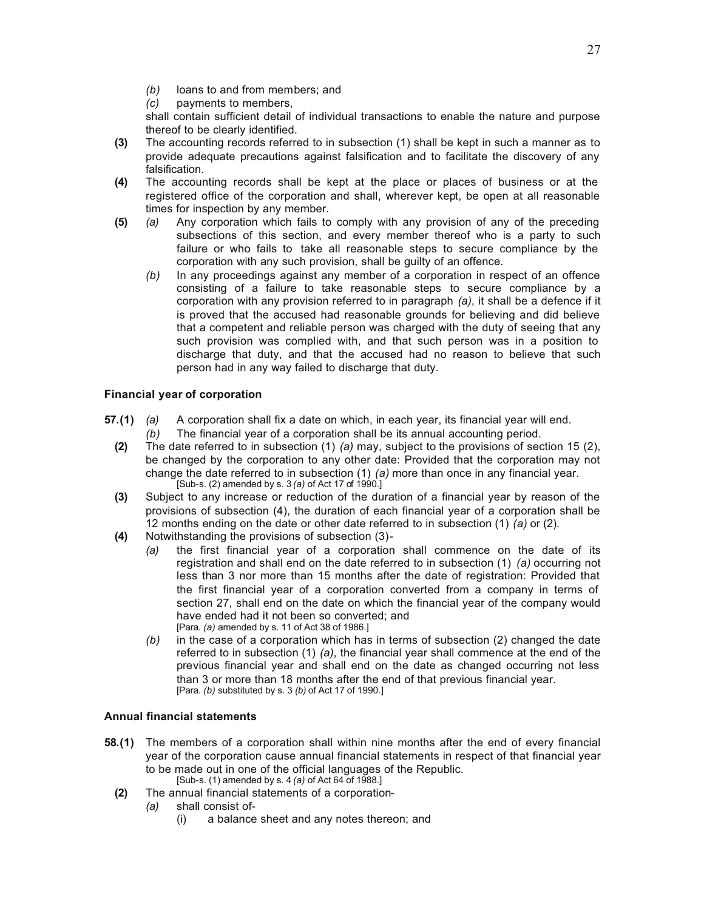- *(b)* loans to and from members; and
- *(c)* payments to members,

shall contain sufficient detail of individual transactions to enable the nature and purpose thereof to be clearly identified.

- **(3)** The accounting records referred to in subsection (1) shall be kept in such a manner as to provide adequate precautions against falsification and to facilitate the discovery of any falsification.
- **(4)** The accounting records shall be kept at the place or places of business or at the registered office of the corporation and shall, wherever kept, be open at all reasonable times for inspection by any member.
- **(5)** *(a)* Any corporation which fails to comply with any provision of any of the preceding subsections of this section, and every member thereof who is a party to such failure or who fails to take all reasonable steps to secure compliance by the corporation with any such provision, shall be guilty of an offence.
	- *(b)* In any proceedings against any member of a corporation in respect of an offence consisting of a failure to take reasonable steps to secure compliance by a corporation with any provision referred to in paragraph *(a)*, it shall be a defence if it is proved that the accused had reasonable grounds for believing and did believe that a competent and reliable person was charged with the duty of seeing that any such provision was complied with, and that such person was in a position to discharge that duty, and that the accused had no reason to believe that such person had in any way failed to discharge that duty.

# **Financial year of corporation**

- **57.(1)** *(a)* A corporation shall fix a date on which, in each year, its financial year will end. *(b)* The financial year of a corporation shall be its annual accounting period.
	- **(2)** The date referred to in subsection (1) *(a)* may, subject to the provisions of section 15 (2), be changed by the corporation to any other date: Provided that the corporation may not change the date referred to in subsection (1) *(a)* more than once in any financial year. [Sub-s. (2) amended by s. 3 *(a)* of Act 17 of 1990.]
	- **(3)** Subject to any increase or reduction of the duration of a financial year by reason of the provisions of subsection (4), the duration of each financial year of a corporation shall be 12 months ending on the date or other date referred to in subsection (1) *(a)* or (2).
	- **(4)** Notwithstanding the provisions of subsection (3)-
		- *(a)* the first financial year of a corporation shall commence on the date of its registration and shall end on the date referred to in subsection (1) *(a)* occurring not less than 3 nor more than 15 months after the date of registration: Provided that the first financial year of a corporation converted from a company in terms of section 27, shall end on the date on which the financial year of the company would have ended had it not been so converted; and [Para. *(a)* amended by s. 11 of Act 38 of 1986.]
		- *(b)* in the case of a corporation which has in terms of subsection (2) changed the date referred to in subsection (1) *(a)*, the financial year shall commence at the end of the previous financial year and shall end on the date as changed occurring not less than 3 or more than 18 months after the end of that previous financial year. [Para. *(b)* substituted by s. 3 *(b)* of Act 17 of 1990.]

## **Annual financial statements**

- **58.(1)** The members of a corporation shall within nine months after the end of every financial year of the corporation cause annual financial statements in respect of that financial year to be made out in one of the official languages of the Republic. [Sub-s. (1) amended by s. 4 *(a)* of Act 64 of 1988.]
	- **(2)** The annual financial statements of a corporation-
		- *(a)* shall consist of-
			- (i) a balance sheet and any notes thereon; and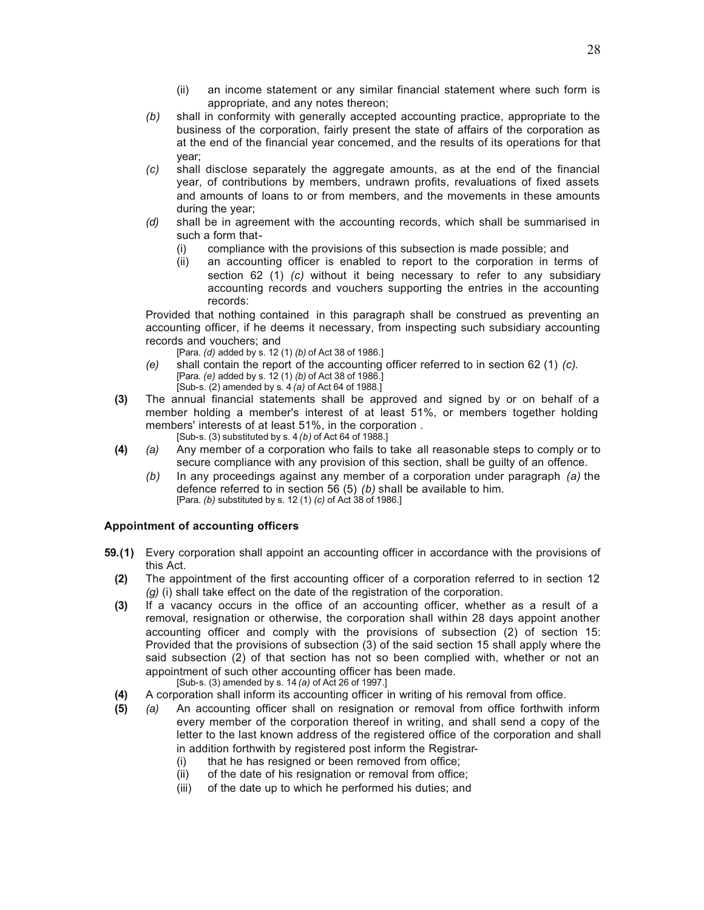- (ii) an income statement or any similar financial statement where such form is appropriate, and any notes thereon;
- *(b)* shall in conformity with generally accepted accounting practice, appropriate to the business of the corporation, fairly present the state of affairs of the corporation as at the end of the financial year concerned, and the results of its operations for that year;
- *(c)* shall disclose separately the aggregate amounts, as at the end of the financial year, of contributions by members, undrawn profits, revaluations of fixed assets and amounts of loans to or from members, and the movements in these amounts during the year;
- *(d)* shall be in agreement with the accounting records, which shall be summarised in such a form that-
	- (i) compliance with the provisions of this subsection is made possible; and
	- (ii) an accounting officer is enabled to report to the corporation in terms of section 62 (1) *(c)* without it being necessary to refer to any subsidiary accounting records and vouchers supporting the entries in the accounting records:

Provided that nothing contained in this paragraph shall be construed as preventing an accounting officer, if he deems it necessary, from inspecting such subsidiary accounting records and vouchers; and

- [Para. *(d)* added by s. 12 (1) *(b)* of Act 38 of 1986.]
- *(e)* shall contain the report of the accounting officer referred to in section 62 (1) *(c)*. [Para. *(e)* added by s. 12 (1) *(b)* of Act 38 of 1986.] [Sub-s. (2) amended by s. 4 *(a)* of Act 64 of 1988.]
- **(3)** The annual financial statements shall be approved and signed by or on behalf of a member holding a member's interest of at least 51%, or members together holding members' interests of at least 51%, in the corporation .
	- [Sub-s. (3) substituted by s. 4 *(b)* of Act 64 of 1988.]
- **(4)** *(a)* Any member of a corporation who fails to take all reasonable steps to comply or to secure compliance with any provision of this section, shall be guilty of an offence.
	- *(b)* In any proceedings against any member of a corporation under paragraph *(a)* the defence referred to in section 56 (5) *(b)* shall be available to him. [Para. *(b)* substituted by s. 12 (1) *(c)* of Act 38 of 1986.]

# **Appointment of accounting officers**

- **59.(1)** Every corporation shall appoint an accounting officer in accordance with the provisions of this Act.
	- **(2)** The appointment of the first accounting officer of a corporation referred to in section 12 *(g)* (i) shall take effect on the date of the registration of the corporation.
	- **(3)** If a vacancy occurs in the office of an accounting officer, whether as a result of a removal, resignation or otherwise, the corporation shall within 28 days appoint another accounting officer and comply with the provisions of subsection (2) of section 15: Provided that the provisions of subsection (3) of the said section 15 shall apply where the said subsection (2) of that section has not so been complied with, whether or not an appointment of such other accounting officer has been made.

[Sub-s. (3) amended by s. 14 *(a)* of Act 26 of 1997.]

- **(4)** A corporation shall inform its accounting officer in writing of his removal from office.
- **(5)** *(a)* An accounting officer shall on resignation or removal from office forthwith inform every member of the corporation thereof in writing, and shall send a copy of the letter to the last known address of the registered office of the corporation and shall in addition forthwith by registered post inform the Registrar-
	- (i) that he has resigned or been removed from office;
	- (ii) of the date of his resignation or removal from office;
	- (iii) of the date up to which he performed his duties; and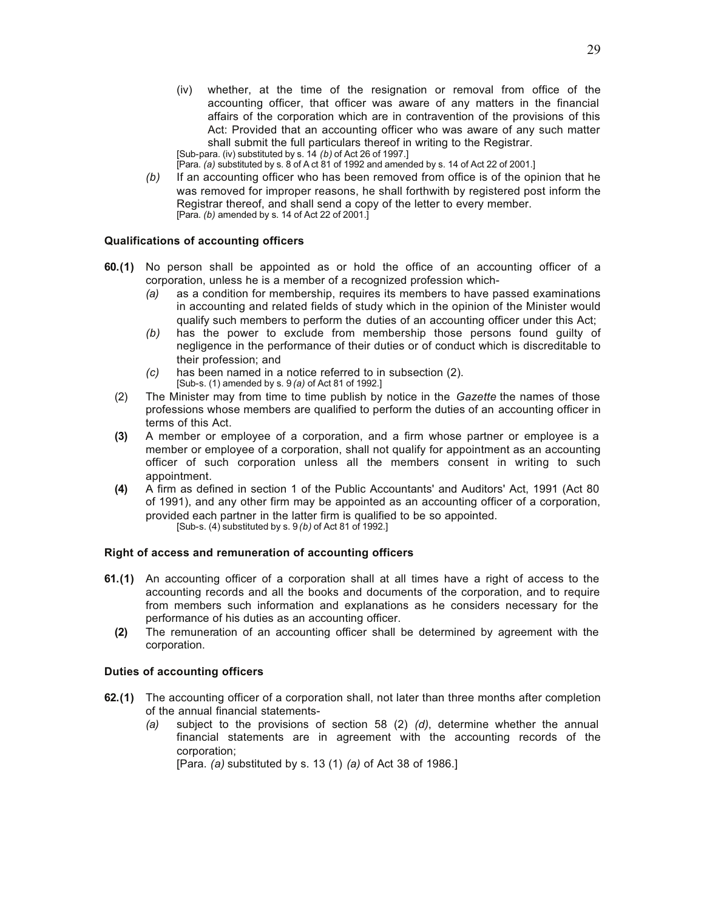(iv) whether, at the time of the resignation or removal from office of the accounting officer, that officer was aware of any matters in the financial affairs of the corporation which are in contravention of the provisions of this Act: Provided that an accounting officer who was aware of any such matter shall submit the full particulars thereof in writing to the Registrar.

[Sub-para. (iv) substituted by s. 14 *(b)* of Act 26 of 1997.]

[Para. *(a)* substituted by s. 8 of A ct 81 of 1992 and amended by s. 14 of Act 22 of 2001.]

*(b)* If an accounting officer who has been removed from office is of the opinion that he was removed for improper reasons, he shall forthwith by registered post inform the Registrar thereof, and shall send a copy of the letter to every member. [Para. *(b)* amended by s. 14 of Act 22 of 2001.]

## **Qualifications of accounting officers**

- **60.(1)** No person shall be appointed as or hold the office of an accounting officer of a corporation, unless he is a member of a recognized profession which-
	- *(a)* as a condition for membership, requires its members to have passed examinations in accounting and related fields of study which in the opinion of the Minister would qualify such members to perform the duties of an accounting officer under this Act;
	- *(b)* has the power to exclude from membership those persons found guilty of negligence in the performance of their duties or of conduct which is discreditable to their profession; and
	- *(c)* has been named in a notice referred to in subsection (2). [Sub-s. (1) amended by s. 9 *(a)* of Act 81 of 1992.]
	- (2) The Minister may from time to time publish by notice in the *Gazette* the names of those professions whose members are qualified to perform the duties of an accounting officer in terms of this Act.
	- **(3)** A member or employee of a corporation, and a firm whose partner or employee is a member or employee of a corporation, shall not qualify for appointment as an accounting officer of such corporation unless all the members consent in writing to such appointment.
	- **(4)** A firm as defined in section 1 of the Public Accountants' and Auditors' Act, 1991 (Act 80 of 1991), and any other firm may be appointed as an accounting officer of a corporation, provided each partner in the latter firm is qualified to be so appointed. [Sub-s. (4) substituted by s. 9 *(b)* of Act 81 of 1992.]

## **Right of access and remuneration of accounting officers**

- **61.(1)** An accounting officer of a corporation shall at all times have a right of access to the accounting records and all the books and documents of the corporation, and to require from members such information and explanations as he considers necessary for the performance of his duties as an accounting officer.
	- **(2)** The remuneration of an accounting officer shall be determined by agreement with the corporation.

## **Duties of accounting officers**

- **62.(1)** The accounting officer of a corporation shall, not later than three months after completion of the annual financial statements-
	- *(a)* subject to the provisions of section 58 (2) *(d)*, determine whether the annual financial statements are in agreement with the accounting records of the corporation;

[Para. *(a)* substituted by s. 13 (1) *(a)* of Act 38 of 1986.]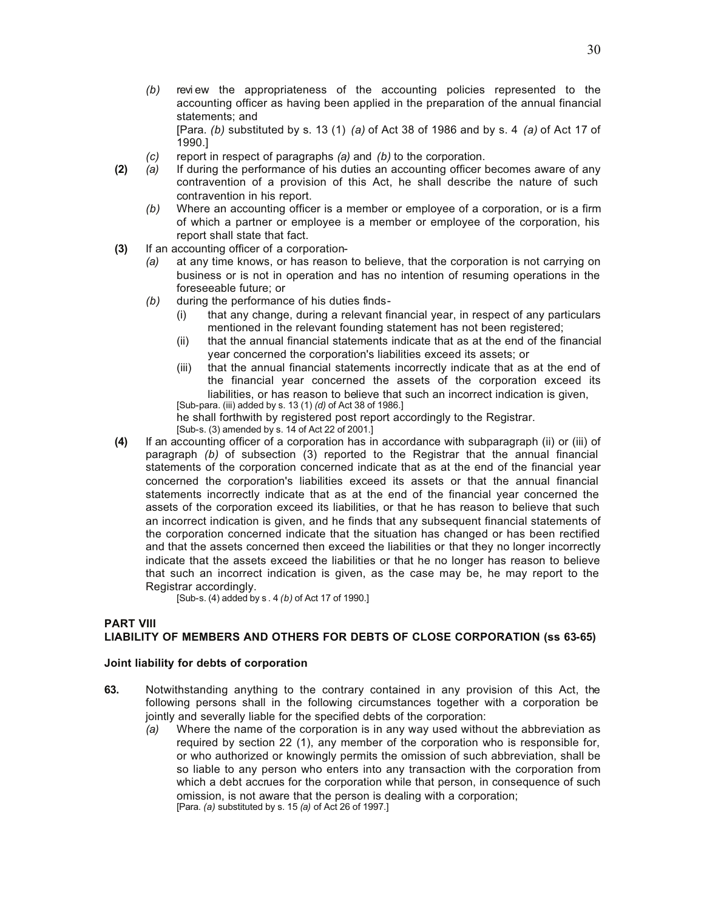*(b)* review the appropriateness of the accounting policies represented to the accounting officer as having been applied in the preparation of the annual financial statements; and

[Para. *(b)* substituted by s. 13 (1) *(a)* of Act 38 of 1986 and by s. 4 *(a)* of Act 17 of 1990.]

- *(c)* report in respect of paragraphs *(a)* and *(b)* to the corporation.
- **(2)** *(a)* If during the performance of his duties an accounting officer becomes aware of any contravention of a provision of this Act, he shall describe the nature of such contravention in his report.
	- *(b)* Where an accounting officer is a member or employee of a corporation, or is a firm of which a partner or employee is a member or employee of the corporation, his report shall state that fact.
- **(3)** If an accounting officer of a corporation-
	- *(a)* at any time knows, or has reason to believe, that the corporation is not carrying on business or is not in operation and has no intention of resuming operations in the foreseeable future; or
	- *(b)* during the performance of his duties finds-
		- (i) that any change, during a relevant financial year, in respect of any particulars mentioned in the relevant founding statement has not been registered;
		- (ii) that the annual financial statements indicate that as at the end of the financial year concerned the corporation's liabilities exceed its assets; or
		- (iii) that the annual financial statements incorrectly indicate that as at the end of the financial year concerned the assets of the corporation exceed its liabilities, or has reason to believe that such an incorrect indication is given, [Sub-para. (iii) added by s. 13 (1) *(d)* of Act 38 of 1986.]

he shall forthwith by registered post report accordingly to the Registrar. [Sub-s. (3) amended by s. 14 of Act 22 of 2001.]

**(4)** If an accounting officer of a corporation has in accordance with subparagraph (ii) or (iii) of paragraph *(b)* of subsection (3) reported to the Registrar that the annual financial statements of the corporation concerned indicate that as at the end of the financial year concerned the corporation's liabilities exceed its assets or that the annual financial statements incorrectly indicate that as at the end of the financial year concerned the assets of the corporation exceed its liabilities, or that he has reason to believe that such an incorrect indication is given, and he finds that any subsequent financial statements of the corporation concerned indicate that the situation has changed or has been rectified and that the assets concerned then exceed the liabilities or that they no longer incorrectly indicate that the assets exceed the liabilities or that he no longer has reason to believe that such an incorrect indication is given, as the case may be, he may report to the Registrar accordingly.

[Sub-s. (4) added by s . 4 *(b)* of Act 17 of 1990.]

# **PART VIII LIABILITY OF MEMBERS AND OTHERS FOR DEBTS OF CLOSE CORPORATION (ss 63-65)**

## **Joint liability for debts of corporation**

- **63.** Notwithstanding anything to the contrary contained in any provision of this Act, the following persons shall in the following circumstances together with a corporation be jointly and severally liable for the specified debts of the corporation:
	- *(a)* Where the name of the corporation is in any way used without the abbreviation as required by section 22 (1), any member of the corporation who is responsible for, or who authorized or knowingly permits the omission of such abbreviation, shall be so liable to any person who enters into any transaction with the corporation from which a debt accrues for the corporation while that person, in consequence of such omission, is not aware that the person is dealing with a corporation; [Para. *(a)* substituted by s. 15 *(a)* of Act 26 of 1997.]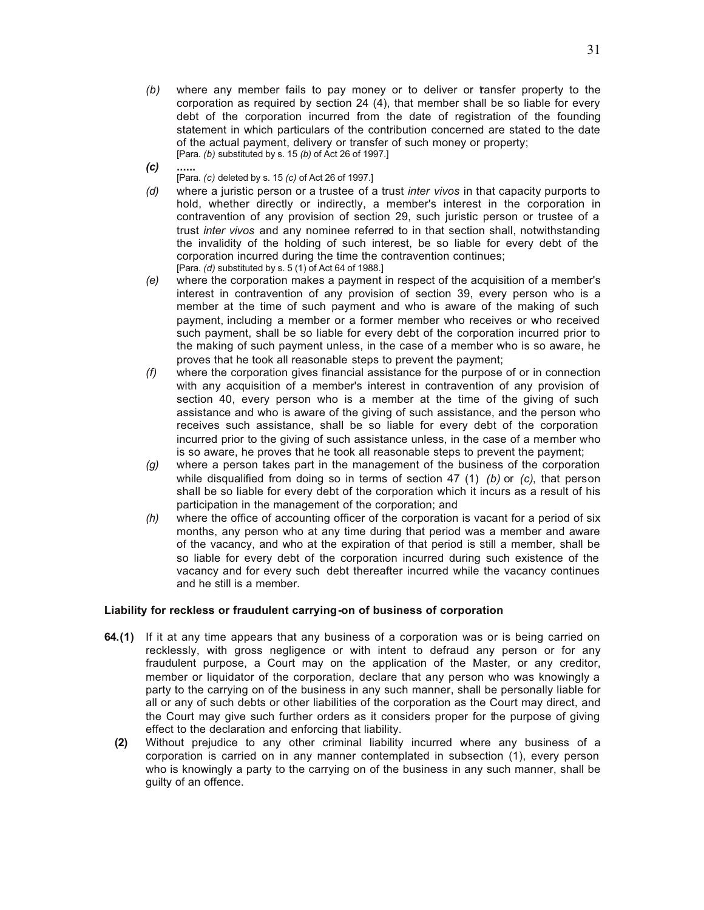- *(b)* where any member fails to pay money or to deliver or transfer property to the corporation as required by section 24 (4), that member shall be so liable for every debt of the corporation incurred from the date of registration of the founding statement in which particulars of the contribution concerned are stated to the date of the actual payment, delivery or transfer of such money or property; [Para. *(b)* substituted by s. 15 *(b)* of Act 26 of 1997.]
- *(c)* **......**
	- [Para. *(c)* deleted by s. 15 *(c)* of Act 26 of 1997.]
- *(d)* where a juristic person or a trustee of a trust *inter vivos* in that capacity purports to hold, whether directly or indirectly, a member's interest in the corporation in contravention of any provision of section 29, such juristic person or trustee of a trust *inter vivos* and any nominee referred to in that section shall, notwithstanding the invalidity of the holding of such interest, be so liable for every debt of the corporation incurred during the time the contravention continues; [Para. *(d)* substituted by s. 5 (1) of Act 64 of 1988.]
- *(e)* where the corporation makes a payment in respect of the acquisition of a member's interest in contravention of any provision of section 39, every person who is a member at the time of such payment and who is aware of the making of such payment, including a member or a former member who receives or who received such payment, shall be so liable for every debt of the corporation incurred prior to the making of such payment unless, in the case of a member who is so aware, he proves that he took all reasonable steps to prevent the payment;
- *(f)* where the corporation gives financial assistance for the purpose of or in connection with any acquisition of a member's interest in contravention of any provision of section 40, every person who is a member at the time of the giving of such assistance and who is aware of the giving of such assistance, and the person who receives such assistance, shall be so liable for every debt of the corporation incurred prior to the giving of such assistance unless, in the case of a member who is so aware, he proves that he took all reasonable steps to prevent the payment;
- *(g)* where a person takes part in the management of the business of the corporation while disqualified from doing so in terms of section 47 (1) *(b)* or *(c)*, that person shall be so liable for every debt of the corporation which it incurs as a result of his participation in the management of the corporation; and
- *(h)* where the office of accounting officer of the corporation is vacant for a period of six months, any person who at any time during that period was a member and aware of the vacancy, and who at the expiration of that period is still a member, shall be so liable for every debt of the corporation incurred during such existence of the vacancy and for every such debt thereafter incurred while the vacancy continues and he still is a member.

## **Liability for reckless or fraudulent carrying-on of business of corporation**

- **64.(1)** If it at any time appears that any business of a corporation was or is being carried on recklessly, with gross negligence or with intent to defraud any person or for any fraudulent purpose, a Court may on the application of the Master, or any creditor, member or liquidator of the corporation, declare that any person who was knowingly a party to the carrying on of the business in any such manner, shall be personally liable for all or any of such debts or other liabilities of the corporation as the Court may direct, and the Court may give such further orders as it considers proper for the purpose of giving effect to the declaration and enforcing that liability.
	- **(2)** Without prejudice to any other criminal liability incurred where any business of a corporation is carried on in any manner contemplated in subsection (1), every person who is knowingly a party to the carrying on of the business in any such manner, shall be guilty of an offence.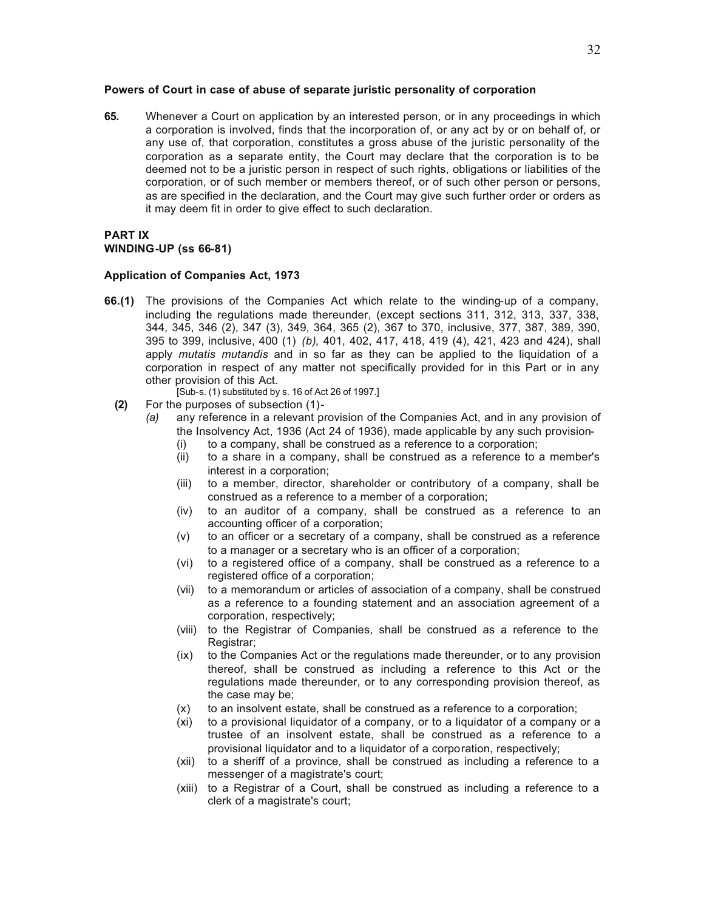#### **Powers of Court in case of abuse of separate juristic personality of corporation**

**65.** Whenever a Court on application by an interested person, or in any proceedings in which a corporation is involved, finds that the incorporation of, or any act by or on behalf of, or any use of, that corporation, constitutes a gross abuse of the juristic personality of the corporation as a separate entity, the Court may declare that the corporation is to be deemed not to be a juristic person in respect of such rights, obligations or liabilities of the corporation, or of such member or members thereof, or of such other person or persons, as are specified in the declaration, and the Court may give such further order or orders as it may deem fit in order to give effect to such declaration.

## **PART IX WINDING-UP (ss 66-81)**

#### **Application of Companies Act, 1973**

- **66.(1)** The provisions of the Companies Act which relate to the winding-up of a company, including the regulations made thereunder, (except sections 311, 312, 313, 337, 338, 344, 345, 346 (2), 347 (3), 349, 364, 365 (2), 367 to 370, inclusive, 377, 387, 389, 390, 395 to 399, inclusive, 400 (1) *(b)*, 401, 402, 417, 418, 419 (4), 421, 423 and 424), shall apply *mutatis mutandis* and in so far as they can be applied to the liquidation of a corporation in respect of any matter not specifically provided for in this Part or in any other provision of this Act.
	- [Sub-s. (1) substituted by s. 16 of Act 26 of 1997.]
	- **(2)** For the purposes of subsection (1)-
		- *(a)* any reference in a relevant provision of the Companies Act, and in any provision of the Insolvency Act, 1936 (Act 24 of 1936), made applicable by any such provision-
			- (i) to a company, shall be construed as a reference to a corporation;
			- (ii) to a share in a company, shall be construed as a reference to a member's interest in a corporation;
			- (iii) to a member, director, shareholder or contributory of a company, shall be construed as a reference to a member of a corporation;
			- (iv) to an auditor of a company, shall be construed as a reference to an accounting officer of a corporation;
			- (v) to an officer or a secretary of a company, shall be construed as a reference to a manager or a secretary who is an officer of a corporation;
			- (vi) to a registered office of a company, shall be construed as a reference to a registered office of a corporation;
			- (vii) to a memorandum or articles of association of a company, shall be construed as a reference to a founding statement and an association agreement of a corporation, respectively;
			- (viii) to the Registrar of Companies, shall be construed as a reference to the Registrar:
			- (ix) to the Companies Act or the regulations made thereunder, or to any provision thereof, shall be construed as including a reference to this Act or the regulations made thereunder, or to any corresponding provision thereof, as the case may be;
			- (x) to an insolvent estate, shall be construed as a reference to a corporation;
			- (xi) to a provisional liquidator of a company, or to a liquidator of a company or a trustee of an insolvent estate, shall be construed as a reference to a provisional liquidator and to a liquidator of a corporation, respectively;
			- (xii) to a sheriff of a province, shall be construed as including a reference to a messenger of a magistrate's court;
			- (xiii) to a Registrar of a Court, shall be construed as including a reference to a clerk of a magistrate's court;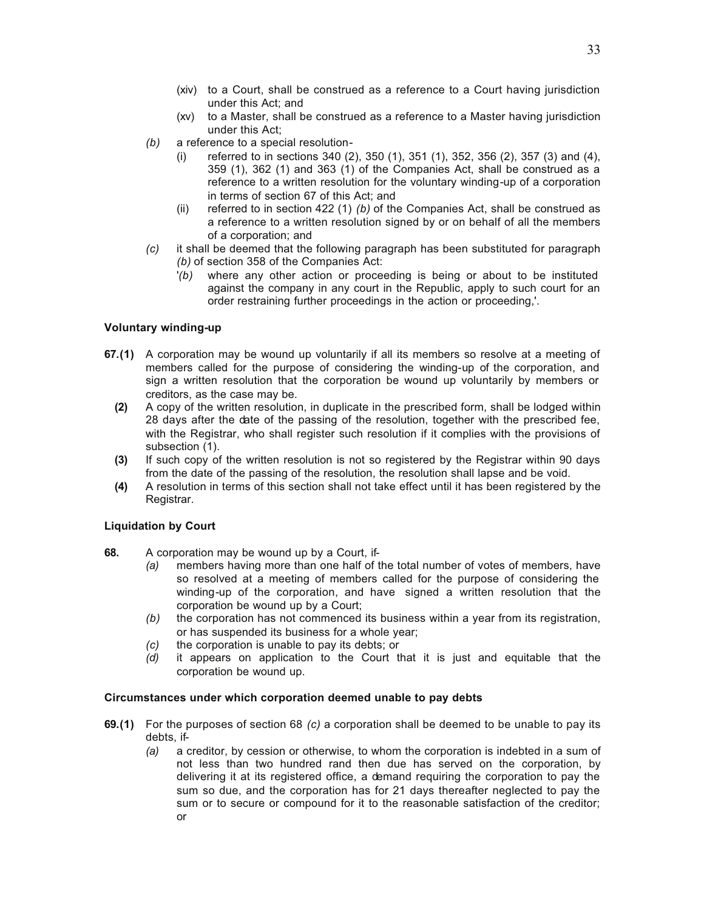- (xiv) to a Court, shall be construed as a reference to a Court having jurisdiction under this Act; and
- (xv) to a Master, shall be construed as a reference to a Master having jurisdiction under this Act;
- *(b)* a reference to a special resolution-
	- (i) referred to in sections 340 (2), 350 (1), 351 (1), 352, 356 (2), 357 (3) and (4), 359 (1), 362 (1) and 363 (1) of the Companies Act, shall be construed as a reference to a written resolution for the voluntary winding-up of a corporation in terms of section 67 of this Act; and
	- (ii) referred to in section 422 (1) *(b)* of the Companies Act, shall be construed as a reference to a written resolution signed by or on behalf of all the members of a corporation; and
- *(c)* it shall be deemed that the following paragraph has been substituted for paragraph *(b)* of section 358 of the Companies Act:
	- '*(b)* where any other action or proceeding is being or about to be instituted against the company in any court in the Republic, apply to such court for an order restraining further proceedings in the action or proceeding,'.

# **Voluntary winding-up**

- **67.(1)** A corporation may be wound up voluntarily if all its members so resolve at a meeting of members called for the purpose of considering the winding-up of the corporation, and sign a written resolution that the corporation be wound up voluntarily by members or creditors, as the case may be.
	- **(2)** A copy of the written resolution, in duplicate in the prescribed form, shall be lodged within 28 days after the date of the passing of the resolution, together with the prescribed fee, with the Registrar, who shall register such resolution if it complies with the provisions of subsection (1).
	- **(3)** If such copy of the written resolution is not so registered by the Registrar within 90 days from the date of the passing of the resolution, the resolution shall lapse and be void.
	- **(4)** A resolution in terms of this section shall not take effect until it has been registered by the Registrar.

## **Liquidation by Court**

- **68.** A corporation may be wound up by a Court, if-
	- *(a)* members having more than one half of the total number of votes of members, have so resolved at a meeting of members called for the purpose of considering the winding-up of the corporation, and have signed a written resolution that the corporation be wound up by a Court;
	- *(b)* the corporation has not commenced its business within a year from its registration, or has suspended its business for a whole year;
	- *(c)* the corporation is unable to pay its debts; or
	- *(d)* it appears on application to the Court that it is just and equitable that the corporation be wound up.

## **Circumstances under which corporation deemed unable to pay debts**

- **69.(1)** For the purposes of section 68 *(c)* a corporation shall be deemed to be unable to pay its debts, if-
	- *(a)* a creditor, by cession or otherwise, to whom the corporation is indebted in a sum of not less than two hundred rand then due has served on the corporation, by delivering it at its registered office, a demand requiring the corporation to pay the sum so due, and the corporation has for 21 days thereafter neglected to pay the sum or to secure or compound for it to the reasonable satisfaction of the creditor; or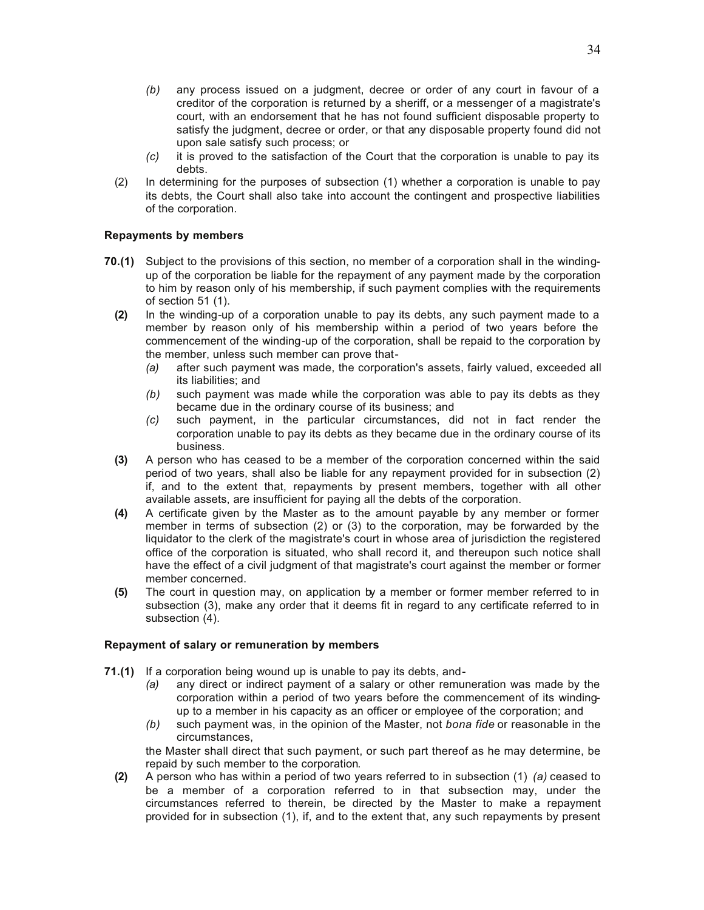- *(b)* any process issued on a judgment, decree or order of any court in favour of a creditor of the corporation is returned by a sheriff, or a messenger of a magistrate's court, with an endorsement that he has not found sufficient disposable property to satisfy the judgment, decree or order, or that any disposable property found did not upon sale satisfy such process; or
- *(c)* it is proved to the satisfaction of the Court that the corporation is unable to pay its debts.
- (2) In determining for the purposes of subsection (1) whether a corporation is unable to pay its debts, the Court shall also take into account the contingent and prospective liabilities of the corporation.

## **Repayments by members**

- **70.(1)** Subject to the provisions of this section, no member of a corporation shall in the windingup of the corporation be liable for the repayment of any payment made by the corporation to him by reason only of his membership, if such payment complies with the requirements of section 51 (1).
	- **(2)** In the winding-up of a corporation unable to pay its debts, any such payment made to a member by reason only of his membership within a period of two years before the commencement of the winding-up of the corporation, shall be repaid to the corporation by the member, unless such member can prove that-
		- *(a)* after such payment was made, the corporation's assets, fairly valued, exceeded all its liabilities; and
		- *(b)* such payment was made while the corporation was able to pay its debts as they became due in the ordinary course of its business; and
		- *(c)* such payment, in the particular circumstances, did not in fact render the corporation unable to pay its debts as they became due in the ordinary course of its business.
	- **(3)** A person who has ceased to be a member of the corporation concerned within the said period of two years, shall also be liable for any repayment provided for in subsection (2) if, and to the extent that, repayments by present members, together with all other available assets, are insufficient for paying all the debts of the corporation.
	- **(4)** A certificate given by the Master as to the amount payable by any member or former member in terms of subsection (2) or (3) to the corporation, may be forwarded by the liquidator to the clerk of the magistrate's court in whose area of jurisdiction the registered office of the corporation is situated, who shall record it, and thereupon such notice shall have the effect of a civil judgment of that magistrate's court against the member or former member concerned.
	- **(5)** The court in question may, on application by a member or former member referred to in subsection (3), make any order that it deems fit in regard to any certificate referred to in subsection (4).

## **Repayment of salary or remuneration by members**

- **71.(1)** If a corporation being wound up is unable to pay its debts, and-
	- *(a)* any direct or indirect payment of a salary or other remuneration was made by the corporation within a period of two years before the commencement of its windingup to a member in his capacity as an officer or employee of the corporation; and
	- *(b)* such payment was, in the opinion of the Master, not *bona fide* or reasonable in the circumstances,

the Master shall direct that such payment, or such part thereof as he may determine, be repaid by such member to the corporation.

**(2)** A person who has within a period of two years referred to in subsection (1) *(a)* ceased to be a member of a corporation referred to in that subsection may, under the circumstances referred to therein, be directed by the Master to make a repayment provided for in subsection (1), if, and to the extent that, any such repayments by present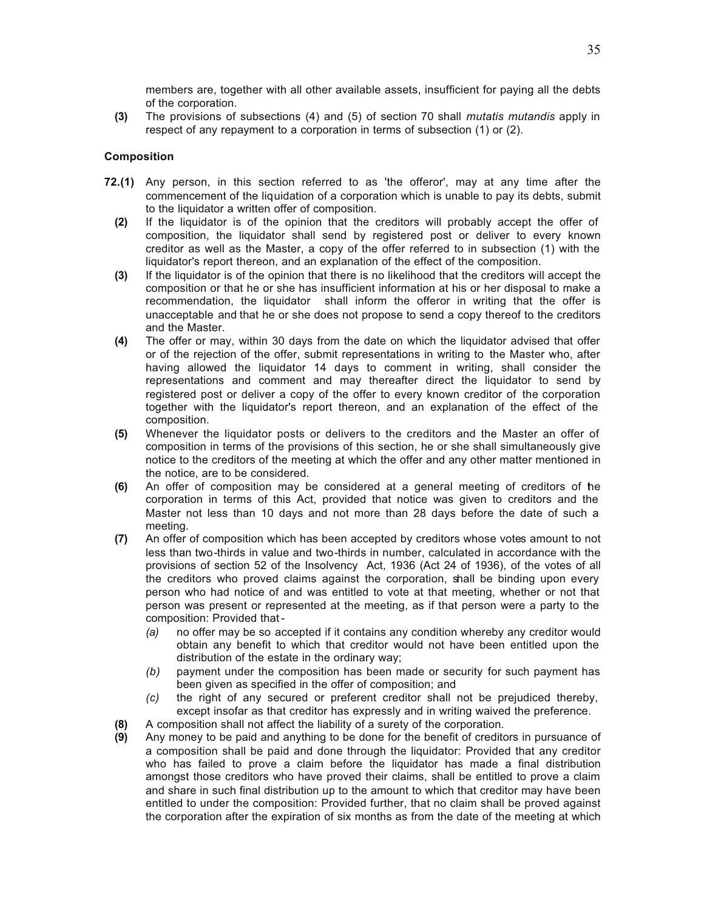members are, together with all other available assets, insufficient for paying all the debts of the corporation.

**(3)** The provisions of subsections (4) and (5) of section 70 shall *mutatis mutandis* apply in respect of any repayment to a corporation in terms of subsection (1) or (2).

## **Composition**

- **72.(1)** Any person, in this section referred to as 'the offeror', may at any time after the commencement of the liquidation of a corporation which is unable to pay its debts, submit to the liquidator a written offer of composition.
	- **(2)** If the liquidator is of the opinion that the creditors will probably accept the offer of composition, the liquidator shall send by registered post or deliver to every known creditor as well as the Master, a copy of the offer referred to in subsection (1) with the liquidator's report thereon, and an explanation of the effect of the composition.
	- **(3)** If the liquidator is of the opinion that there is no likelihood that the creditors will accept the composition or that he or she has insufficient information at his or her disposal to make a recommendation, the liquidator shall inform the offeror in writing that the offer is unacceptable and that he or she does not propose to send a copy thereof to the creditors and the Master.
	- **(4)** The offer or may, within 30 days from the date on which the liquidator advised that offer or of the rejection of the offer, submit representations in writing to the Master who, after having allowed the liquidator 14 days to comment in writing, shall consider the representations and comment and may thereafter direct the liquidator to send by registered post or deliver a copy of the offer to every known creditor of the corporation together with the liquidator's report thereon, and an explanation of the effect of the composition.
	- **(5)** Whenever the liquidator posts or delivers to the creditors and the Master an offer of composition in terms of the provisions of this section, he or she shall simultaneously give notice to the creditors of the meeting at which the offer and any other matter mentioned in the notice, are to be considered.
	- **(6)** An offer of composition may be considered at a general meeting of creditors of the corporation in terms of this Act, provided that notice was given to creditors and the Master not less than 10 days and not more than 28 days before the date of such a meeting.
	- **(7)** An offer of composition which has been accepted by creditors whose votes amount to not less than two-thirds in value and two-thirds in number, calculated in accordance with the provisions of section 52 of the Insolvency Act, 1936 (Act 24 of 1936), of the votes of all the creditors who proved claims against the corporation, shall be binding upon every person who had notice of and was entitled to vote at that meeting, whether or not that person was present or represented at the meeting, as if that person were a party to the composition: Provided that -
		- *(a)* no offer may be so accepted if it contains any condition whereby any creditor would obtain any benefit to which that creditor would not have been entitled upon the distribution of the estate in the ordinary way;
		- *(b)* payment under the composition has been made or security for such payment has been given as specified in the offer of composition; and
		- *(c)* the right of any secured or preferent creditor shall not be prejudiced thereby, except insofar as that creditor has expressly and in writing waived the preference.
	- **(8)** A composition shall not affect the liability of a surety of the corporation.
	- **(9)** Any money to be paid and anything to be done for the benefit of creditors in pursuance of a composition shall be paid and done through the liquidator: Provided that any creditor who has failed to prove a claim before the liquidator has made a final distribution amongst those creditors who have proved their claims, shall be entitled to prove a claim and share in such final distribution up to the amount to which that creditor may have been entitled to under the composition: Provided further, that no claim shall be proved against the corporation after the expiration of six months as from the date of the meeting at which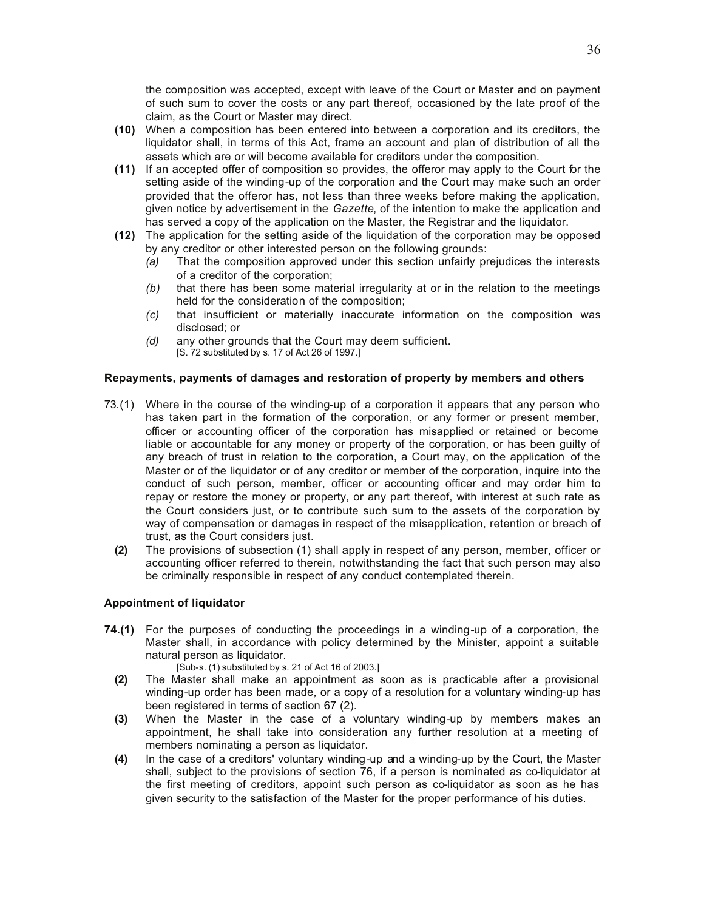the composition was accepted, except with leave of the Court or Master and on payment of such sum to cover the costs or any part thereof, occasioned by the late proof of the claim, as the Court or Master may direct.

- **(10)** When a composition has been entered into between a corporation and its creditors, the liquidator shall, in terms of this Act, frame an account and plan of distribution of all the assets which are or will become available for creditors under the composition.
- **(11)** If an accepted offer of composition so provides, the offeror may apply to the Court for the setting aside of the winding-up of the corporation and the Court may make such an order provided that the offeror has, not less than three weeks before making the application, given notice by advertisement in the *Gazette*, of the intention to make the application and has served a copy of the application on the Master, the Registrar and the liquidator.
- **(12)** The application for the setting aside of the liquidation of the corporation may be opposed by any creditor or other interested person on the following grounds:
	- *(a)* That the composition approved under this section unfairly prejudices the interests of a creditor of the corporation;
	- *(b)* that there has been some material irregularity at or in the relation to the meetings held for the consideration of the composition;
	- *(c)* that insufficient or materially inaccurate information on the composition was disclosed; or
	- *(d)* any other grounds that the Court may deem sufficient. [S. 72 substituted by s. 17 of Act 26 of 1997.]

## **Repayments, payments of damages and restoration of property by members and others**

- 73.(1) Where in the course of the winding-up of a corporation it appears that any person who has taken part in the formation of the corporation, or any former or present member, officer or accounting officer of the corporation has misapplied or retained or become liable or accountable for any money or property of the corporation, or has been guilty of any breach of trust in relation to the corporation, a Court may, on the application of the Master or of the liquidator or of any creditor or member of the corporation, inquire into the conduct of such person, member, officer or accounting officer and may order him to repay or restore the money or property, or any part thereof, with interest at such rate as the Court considers just, or to contribute such sum to the assets of the corporation by way of compensation or damages in respect of the misapplication, retention or breach of trust, as the Court considers just.
	- **(2)** The provisions of subsection (1) shall apply in respect of any person, member, officer or accounting officer referred to therein, notwithstanding the fact that such person may also be criminally responsible in respect of any conduct contemplated therein.

## **Appointment of liquidator**

- **74.(1)** For the purposes of conducting the proceedings in a winding-up of a corporation, the Master shall, in accordance with policy determined by the Minister, appoint a suitable natural person as liquidator.
	- [Sub-s. (1) substituted by s. 21 of Act 16 of 2003.]
	- **(2)** The Master shall make an appointment as soon as is practicable after a provisional winding-up order has been made, or a copy of a resolution for a voluntary winding-up has been registered in terms of section 67 (2).
	- **(3)** When the Master in the case of a voluntary winding-up by members makes an appointment, he shall take into consideration any further resolution at a meeting of members nominating a person as liquidator.
	- **(4)** In the case of a creditors' voluntary winding-up and a winding-up by the Court, the Master shall, subject to the provisions of section 76, if a person is nominated as co-liquidator at the first meeting of creditors, appoint such person as co-liquidator as soon as he has given security to the satisfaction of the Master for the proper performance of his duties.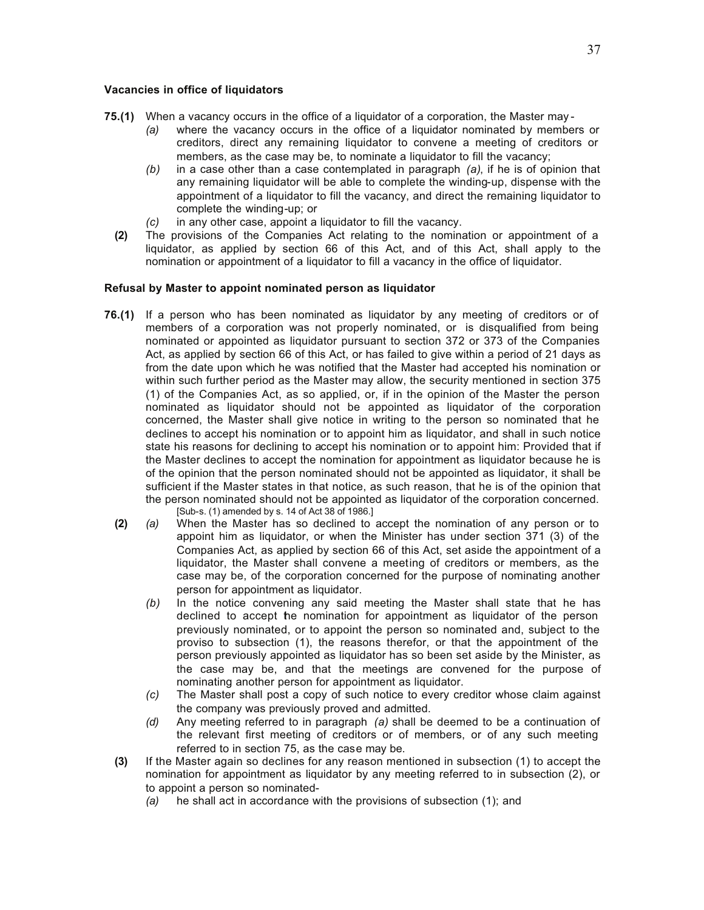#### **Vacancies in office of liquidators**

- **75.(1)** When a vacancy occurs in the office of a liquidator of a corporation, the Master may
	- *(a)* where the vacancy occurs in the office of a liquidator nominated by members or creditors, direct any remaining liquidator to convene a meeting of creditors or members, as the case may be, to nominate a liquidator to fill the vacancy;
	- *(b)* in a case other than a case contemplated in paragraph *(a)*, if he is of opinion that any remaining liquidator will be able to complete the winding-up, dispense with the appointment of a liquidator to fill the vacancy, and direct the remaining liquidator to complete the winding-up; or
	- *(c)* in any other case, appoint a liquidator to fill the vacancy.
	- **(2)** The provisions of the Companies Act relating to the nomination or appointment of a liquidator, as applied by section 66 of this Act, and of this Act, shall apply to the nomination or appointment of a liquidator to fill a vacancy in the office of liquidator.

## **Refusal by Master to appoint nominated person as liquidator**

- **76.(1)** If a person who has been nominated as liquidator by any meeting of creditors or of members of a corporation was not properly nominated, or is disqualified from being nominated or appointed as liquidator pursuant to section 372 or 373 of the Companies Act, as applied by section 66 of this Act, or has failed to give within a period of 21 days as from the date upon which he was notified that the Master had accepted his nomination or within such further period as the Master may allow, the security mentioned in section 375 (1) of the Companies Act, as so applied, or, if in the opinion of the Master the person nominated as liquidator should not be appointed as liquidator of the corporation concerned, the Master shall give notice in writing to the person so nominated that he declines to accept his nomination or to appoint him as liquidator, and shall in such notice state his reasons for declining to accept his nomination or to appoint him: Provided that if the Master declines to accept the nomination for appointment as liquidator because he is of the opinion that the person nominated should not be appointed as liquidator, it shall be sufficient if the Master states in that notice, as such reason, that he is of the opinion that the person nominated should not be appointed as liquidator of the corporation concerned. [Sub-s. (1) amended by s. 14 of Act 38 of 1986.]
	- **(2)** *(a)* When the Master has so declined to accept the nomination of any person or to appoint him as liquidator, or when the Minister has under section 371 (3) of the Companies Act, as applied by section 66 of this Act, set aside the appointment of a liquidator, the Master shall convene a meeting of creditors or members, as the case may be, of the corporation concerned for the purpose of nominating another person for appointment as liquidator.
		- *(b)* In the notice convening any said meeting the Master shall state that he has declined to accept the nomination for appointment as liquidator of the person previously nominated, or to appoint the person so nominated and, subject to the proviso to subsection (1), the reasons therefor, or that the appointment of the person previously appointed as liquidator has so been set aside by the Minister, as the case may be, and that the meetings are convened for the purpose of nominating another person for appointment as liquidator.
		- *(c)* The Master shall post a copy of such notice to every creditor whose claim against the company was previously proved and admitted.
		- *(d)* Any meeting referred to in paragraph *(a)* shall be deemed to be a continuation of the relevant first meeting of creditors or of members, or of any such meeting referred to in section 75, as the case may be.
	- **(3)** If the Master again so declines for any reason mentioned in subsection (1) to accept the nomination for appointment as liquidator by any meeting referred to in subsection (2), or to appoint a person so nominated-
		- *(a)* he shall act in accordance with the provisions of subsection (1); and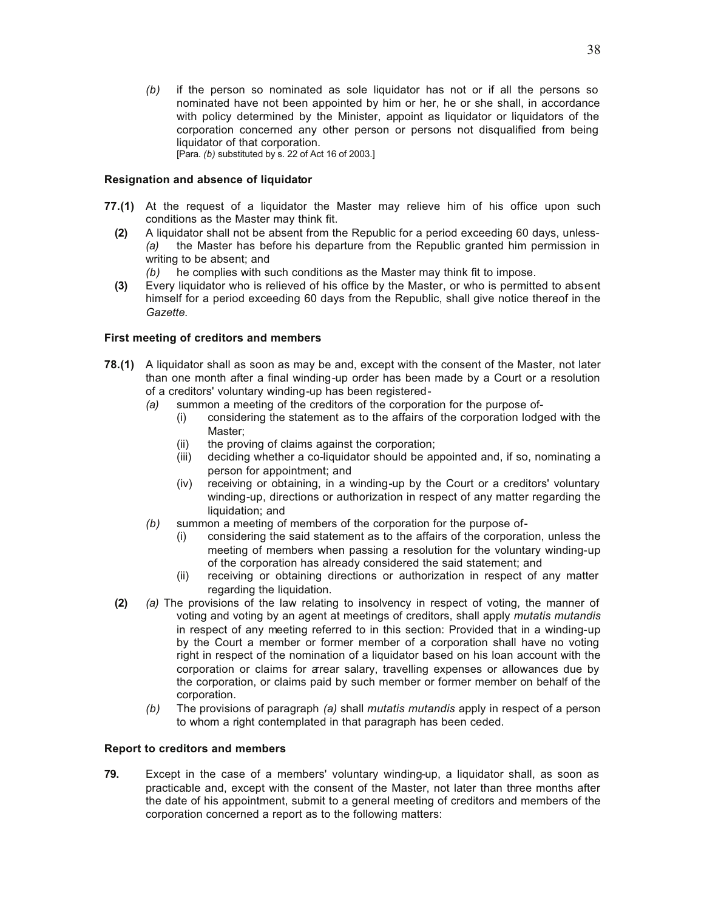*(b)* if the person so nominated as sole liquidator has not or if all the persons so nominated have not been appointed by him or her, he or she shall, in accordance with policy determined by the Minister, appoint as liquidator or liquidators of the corporation concerned any other person or persons not disqualified from being liquidator of that corporation. [Para. *(b)* substituted by s. 22 of Act 16 of 2003.]

#### **Resignation and absence of liquidator**

- **77.(1)** At the request of a liquidator the Master may relieve him of his office upon such conditions as the Master may think fit.
	- **(2)** A liquidator shall not be absent from the Republic for a period exceeding 60 days, unless- *(a)* the Master has before his departure from the Republic granted him permission in writing to be absent; and
		- *(b)* he complies with such conditions as the Master may think fit to impose.
	- **(3)** Every liquidator who is relieved of his office by the Master, or who is permitted to absent himself for a period exceeding 60 days from the Republic, shall give notice thereof in the *Gazette.*

#### **First meeting of creditors and members**

- **78.(1)** A liquidator shall as soon as may be and, except with the consent of the Master, not later than one month after a final winding-up order has been made by a Court or a resolution of a creditors' voluntary winding-up has been registered-
	- *(a)* summon a meeting of the creditors of the corporation for the purpose of-
		- (i) considering the statement as to the affairs of the corporation lodged with the Master;
		- (ii) the proving of claims against the corporation;
		- (iii) deciding whether a co-liquidator should be appointed and, if so, nominating a person for appointment; and
		- (iv) receiving or obtaining, in a winding-up by the Court or a creditors' voluntary winding-up, directions or authorization in respect of any matter regarding the liquidation; and
	- *(b)* summon a meeting of members of the corporation for the purpose of-
		- (i) considering the said statement as to the affairs of the corporation, unless the meeting of members when passing a resolution for the voluntary winding-up of the corporation has already considered the said statement; and
		- (ii) receiving or obtaining directions or authorization in respect of any matter regarding the liquidation.
	- **(2)** *(a)* The provisions of the law relating to insolvency in respect of voting, the manner of voting and voting by an agent at meetings of creditors, shall apply *mutatis mutandis* in respect of any meeting referred to in this section: Provided that in a winding-up by the Court a member or former member of a corporation shall have no voting right in respect of the nomination of a liquidator based on his loan account with the corporation or claims for arrear salary, travelling expenses or allowances due by the corporation, or claims paid by such member or former member on behalf of the corporation.
		- *(b)* The provisions of paragraph *(a)* shall *mutatis mutandis* apply in respect of a person to whom a right contemplated in that paragraph has been ceded.

#### **Report to creditors and members**

**79.** Except in the case of a members' voluntary winding-up, a liquidator shall, as soon as practicable and, except with the consent of the Master, not later than three months after the date of his appointment, submit to a general meeting of creditors and members of the corporation concerned a report as to the following matters: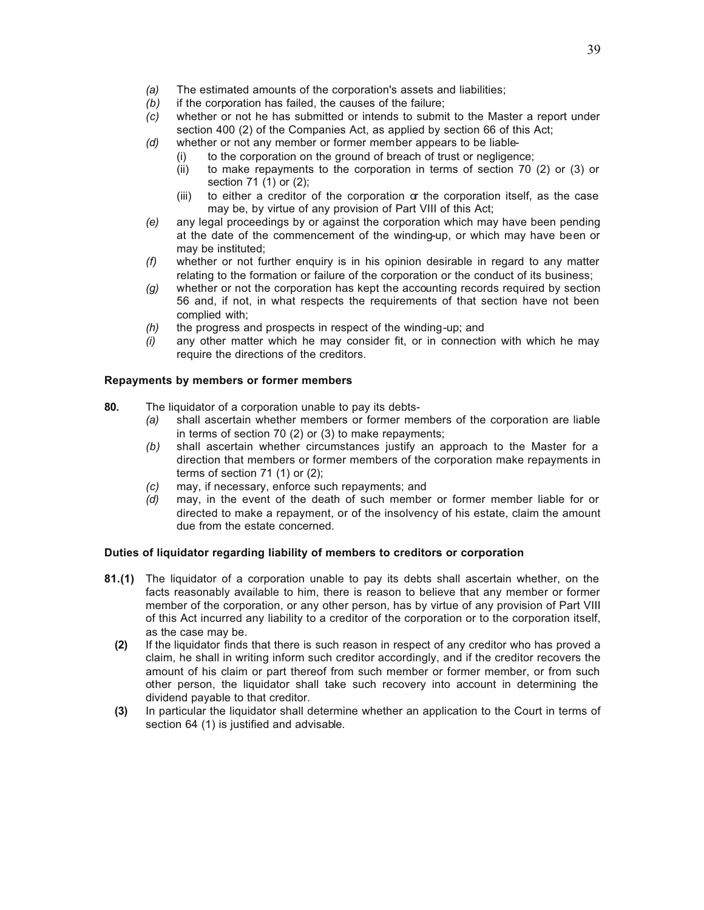- *(a)* The estimated amounts of the corporation's assets and liabilities;
- *(b)* if the corporation has failed, the causes of the failure;
- *(c)* whether or not he has submitted or intends to submit to the Master a report under section 400 (2) of the Companies Act, as applied by section 66 of this Act;
- *(d)* whether or not any member or former member appears to be liable-
	- (i) to the corporation on the ground of breach of trust or negligence;
	- (ii) to make repayments to the corporation in terms of section 70 (2) or (3) or section 71 (1) or (2);
	- (iii) to either a creditor of the corporation or the corporation itself, as the case may be, by virtue of any provision of Part VIII of this Act;
- *(e)* any legal proceedings by or against the corporation which may have been pending at the date of the commencement of the winding-up, or which may have been or may be instituted;
- *(f)* whether or not further enquiry is in his opinion desirable in regard to any matter relating to the formation or failure of the corporation or the conduct of its business;
- *(g)* whether or not the corporation has kept the accounting records required by section 56 and, if not, in what respects the requirements of that section have not been complied with;
- *(h)* the progress and prospects in respect of the winding-up; and
- *(i)* any other matter which he may consider fit, or in connection with which he may require the directions of the creditors.

#### **Repayments by members or former members**

- **80.** The liquidator of a corporation unable to pay its debts-
	- *(a)* shall ascertain whether members or former members of the corporation are liable in terms of section 70 (2) or (3) to make repayments;
	- *(b)* shall ascertain whether circumstances justify an approach to the Master for a direction that members or former members of the corporation make repayments in terms of section 71 (1) or (2);
	- *(c)* may, if necessary, enforce such repayments; and
	- *(d)* may, in the event of the death of such member or former member liable for or directed to make a repayment, or of the insolvency of his estate, claim the amount due from the estate concerned.

## **Duties of liquidator regarding liability of members to creditors or corporation**

- **81.(1)** The liquidator of a corporation unable to pay its debts shall ascertain whether, on the facts reasonably available to him, there is reason to believe that any member or former member of the corporation, or any other person, has by virtue of any provision of Part VIII of this Act incurred any liability to a creditor of the corporation or to the corporation itself, as the case may be.
	- **(2)** If the liquidator finds that there is such reason in respect of any creditor who has proved a claim, he shall in writing inform such creditor accordingly, and if the creditor recovers the amount of his claim or part thereof from such member or former member, or from such other person, the liquidator shall take such recovery into account in determining the dividend payable to that creditor.
	- **(3)** In particular the liquidator shall determine whether an application to the Court in terms of section 64 (1) is justified and advisable.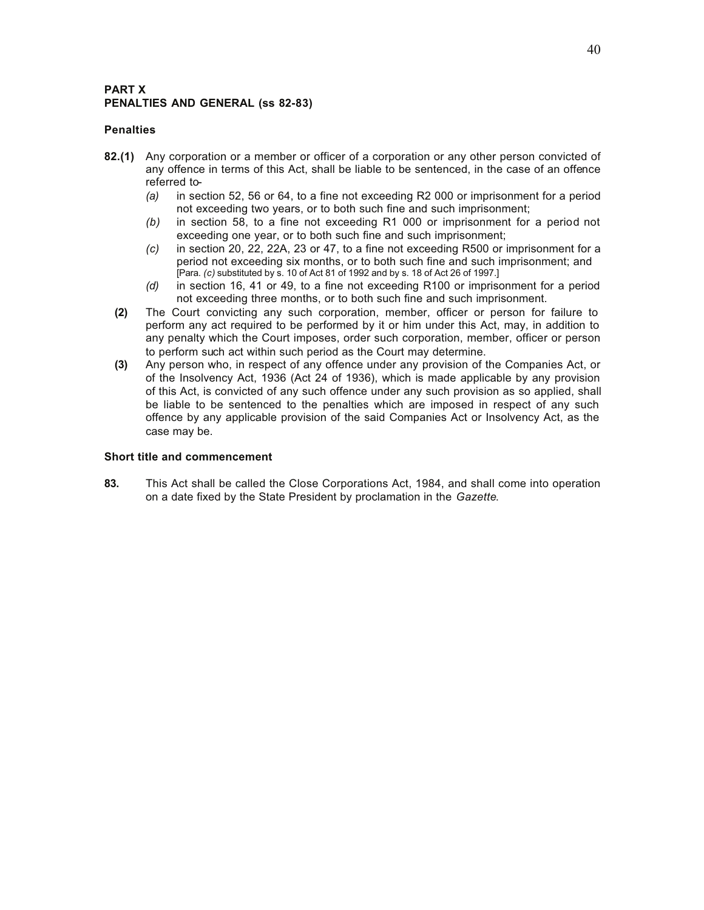## **PART X PENALTIES AND GENERAL (ss 82-83)**

#### **Penalties**

- **82.(1)** Any corporation or a member or officer of a corporation or any other person convicted of any offence in terms of this Act, shall be liable to be sentenced, in the case of an offence referred to-
	- *(a)* in section 52, 56 or 64, to a fine not exceeding R2 000 or imprisonment for a period not exceeding two years, or to both such fine and such imprisonment;
	- *(b)* in section 58, to a fine not exceeding R1 000 or imprisonment for a period not exceeding one year, or to both such fine and such imprisonment;
	- *(c)* in section 20, 22, 22A, 23 or 47, to a fine not exceeding R500 or imprisonment for a period not exceeding six months, or to both such fine and such imprisonment; and [Para. *(c)* substituted by s. 10 of Act 81 of 1992 and by s. 18 of Act 26 of 1997.]
	- *(d)* in section 16, 41 or 49, to a fine not exceeding R100 or imprisonment for a period not exceeding three months, or to both such fine and such imprisonment.
	- **(2)** The Court convicting any such corporation, member, officer or person for failure to perform any act required to be performed by it or him under this Act, may, in addition to any penalty which the Court imposes, order such corporation, member, officer or person to perform such act within such period as the Court may determine.
	- **(3)** Any person who, in respect of any offence under any provision of the Companies Act, or of the Insolvency Act, 1936 (Act 24 of 1936), which is made applicable by any provision of this Act, is convicted of any such offence under any such provision as so applied, shall be liable to be sentenced to the penalties which are imposed in respect of any such offence by any applicable provision of the said Companies Act or Insolvency Act, as the case may be.

#### **Short title and commencement**

**83.** This Act shall be called the Close Corporations Act, 1984, and shall come into operation on a date fixed by the State President by proclamation in the *Gazette*.